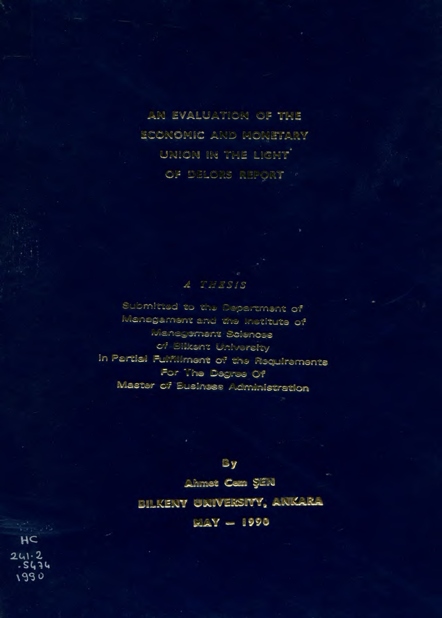**2N EVALUATION OF THE ECONOMIC AND MONETARY UNION IN THE LIGHT ÖF DELORS REPORT \*** 

# **\* О ^ С» :** *àjSf J Ît^*

 $\beta$  ubmitted to the Department of **Меледалгіелі^** *&r.d tr.-o* **:-«\*.stitut3 o f** Management Sciences cf Bilkent University in Partial Fulfillment of the Requirements **•~от » .Ίίθ ©a¿,^'''aa O f** Master of Eusiness Administration

**By** 

**ьйіже^ Ce£Ä §'2М**

**BILKENY UNIVERSITY, ANKARA** 

 $MAY = 1990$ 

 $HC$ २५१ - २<br>*- ऽ५* ३५ 1990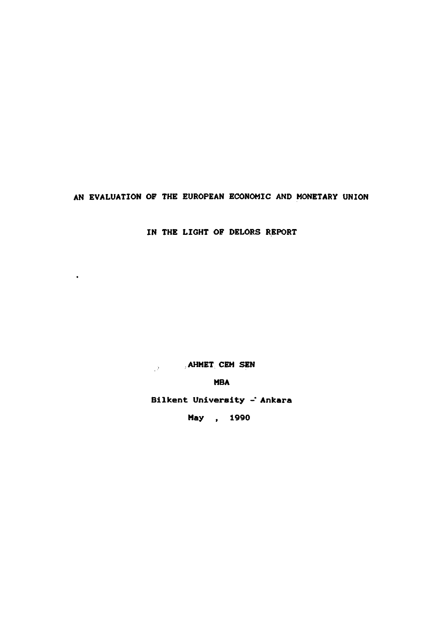**AN EVALUATION OF THE EUROPEAN ECONOMIC AND MONETARY UNION**

**IN THE LIGHT OF DELORS REPORT**

**AHMET CEM SEN**

 $\bullet$ 

**MBA**

**Bilkent University - Ankara**

**May , 1990**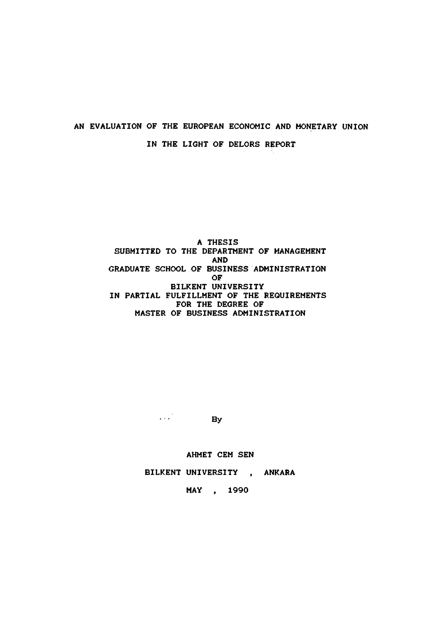# **AN EVALUATION OF THE EUROPEAN ECONOMIC AND MONETARY UNION IN THE LIGHT OF DELORS REPORT**

**A THESIS SUBMITTED TO THE DEPARTMENT OF MANAGEMENT AND GRADUATE SCHOOL OF BUSINESS ADMINISTRATION OF BILKENT UNIVERSITY IN PARTIAL FULFILLMENT OF THE REQUIREMENTS FOR THE DEGREE OF MASTER OF BUSINESS ADMINISTRATION**

**By** 

**AHMET CEM SEN**

**BILKENT UNIVERSITY . ANKARA**

**MAY 1990**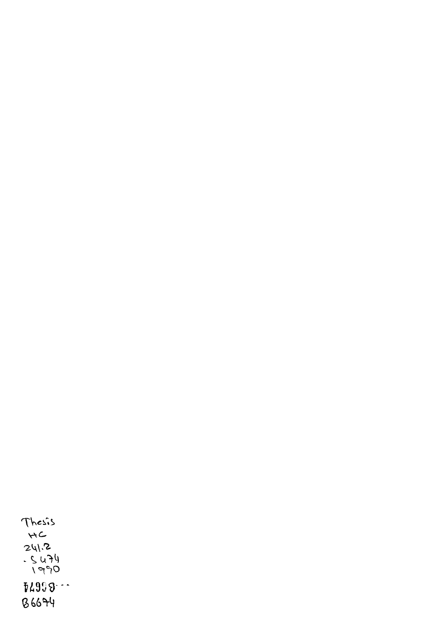Thesis **4C<br>241.2<br>- Su74<br>- SPP1 !¿9íi9--**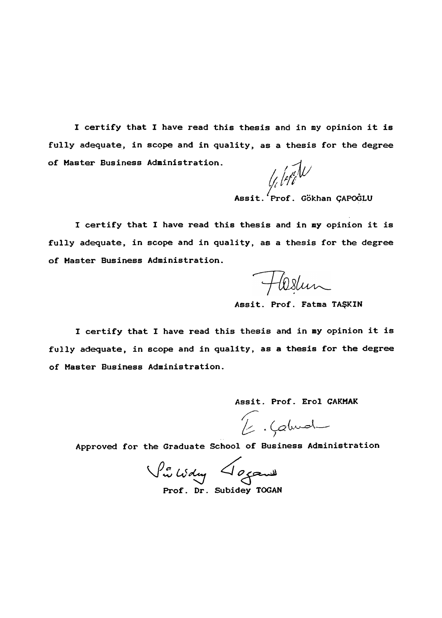**I certify that I have read this thesis and in ny opinion it is fully adequate, in scope and in quality, as a thesis for the degree of Master Business Administration.**

li leti $\mathcal{U}$ 

**Assit. Prof. Gokhan gAPOGLU**

**I certify that I have read this thesis and in my opinion it is fully adequate, in scope and in quality, as a thesis for the degree of Master Business Administration.**

Hostun

**Assit. Prof. Fatma TAŞKIN**

**I certify that I have read this thesis and in my opinion it is fully adequate, in scope and in quality, as a thesis for the degree of Master Business Administration.**

**Assit. Prof. Erol ÇAKMAK**

E. Calmal

**Approved for the Graduate School of Business Administration**

Vi Wdy Joganne

**Prof. Dr. Subidey TOGAN**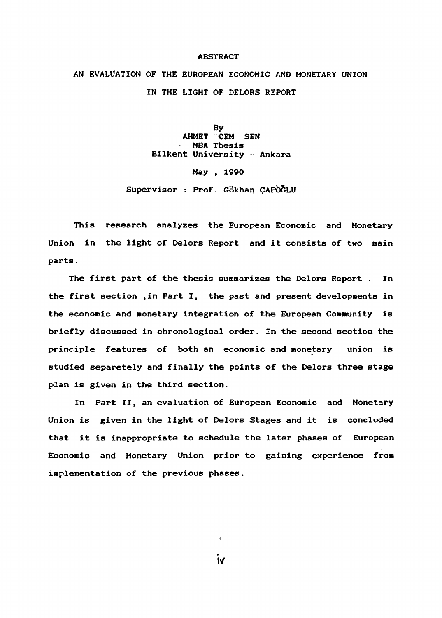# **ABSTRACT**

**AN EVALUATION OF THE EUROPEAN ECONOMIC AND MONETARY UNION IN THE LIGHT OF DELORS REPORT**

> **By AHMET CEM SEN MBA Thesis Bilkent University - Ankara**

> > **May , 1990**

**Supervisor : Prof. Gökhan ÇAPOGLU**

**This research analyzes the European Econosic and Monetary Union in the light of Delors Report and it consists of two main parts.**

**The first part of the thesis summarizes the Delors Report . In the first section ,in Part I, the past and present developments in the economic and monetary integration of the European Community is briefly discussed in chronological order. In the second section the principle features of both an economic and monetary union is studied separetely and finally the points of the Delors three stage plan is given in the third section.**

**In Part II, an evaluation of European Economic and Monetary Union is given in the light of Delors Stages and it is concluded that it is inappropriate to schedule the later phases of European Economic and Monetary Union prior to gaining experience from implementation of the previous phases.**

**iV**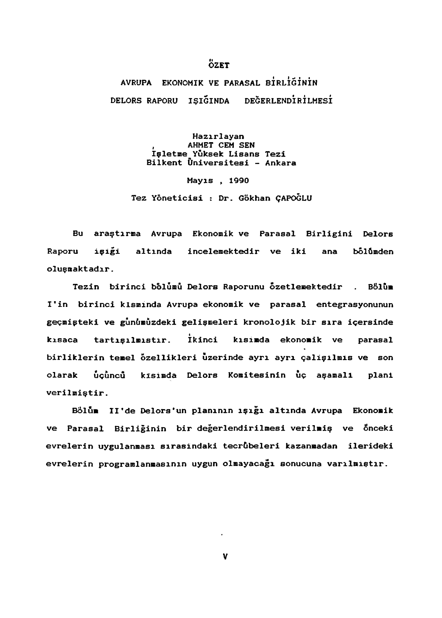# **ÖZET**

**AVRUPA e k o n o m i k VE PARASAL b İr l İg İn İN DELORS RAPORU IŞIĞINDA DEĞERLENDİRİLMESİ**

> **Hazırlayan , AHMET CEM SEN İşletme Yüksek Lisans Tezi Biİkent Üniversitesi - Ankara**

> > **Mayıs , 1990**

**Tez Yöneticisi : Dr. Gökhan ÇAPOĞLU**

**Bu araştırma Avrupa Ekonomik ve Parasal Birliğini Delors RapHsru işigi altında incelemektedir ve iki ana bolümden oluşmaktadır.**

Tezin birinci bölümü Delors Raporunu özetlemektedir . Bölüm **I'in birinci kısmında Avrupa ekonomik ve parasal entegrasyonunun geçmişteki ve günümüzdeki gelişmeleri kronolojik bir sıra içersinde I kısaca tartışılmıştır. ikinci kısimda ekonomik ve parasal birliklerin temel özellikleri üzerinde ayrı ayrı çalişilmls ve son olarak uçuncû kısımda Delors Komitesinin uç aşamalı plani verilmiştir.**

**Bolum Il'de Delors\*un planının ışığı altında Avrupa Ekonomik ve Parasal Birliğinin bir değerlendirilmesi verilmiş ve Önceki evrelerin uygulanması sırasındaki tecrübeleri kazanmadan ilerideki evrelerin programlanmasının uygun olmayacağı sonucuna varılmiştır.**

v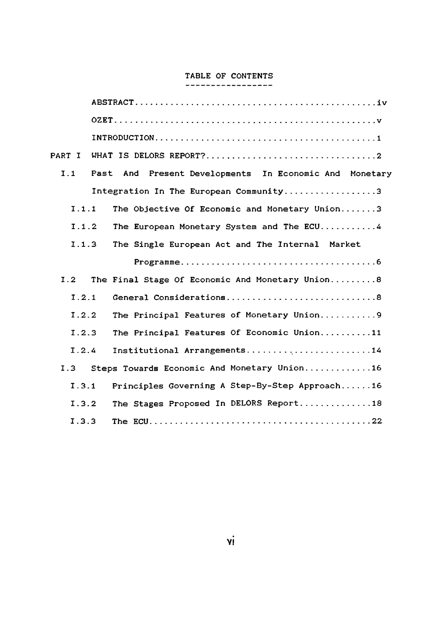# **TABLE OF CONTENTS**

| PART I |                                                        |
|--------|--------------------------------------------------------|
| I.1    | Past And Present Developments In Economic And Monetary |
|        | Integration In The European Community3                 |
| 1.1.1  | The Objective Of Economic and Monetary Union3          |
| I.1.2  | The European Monetary System and The ECU4              |
| 1.1.3  | The Single European Act and The Internal Market        |
|        |                                                        |
| I.2    | The Final Stage Of Economic And Monetary Union8        |
| 1.2.1  | General Considerations8                                |
| 1.2.2  | The Principal Features of Monetary Union9              |
| 1.2.3  | The Principal Features Of Economic Union11             |
| 1.2.4  | Institutional Arrangements14                           |
|        | I.3 Steps Towards Economic And Monetary Union16        |
| 1.3.1  | Principles Governing A Step-By-Step Approach16         |
| 1.3.2  | The Stages Proposed In DELORS Report18                 |
| 1.3.3  |                                                        |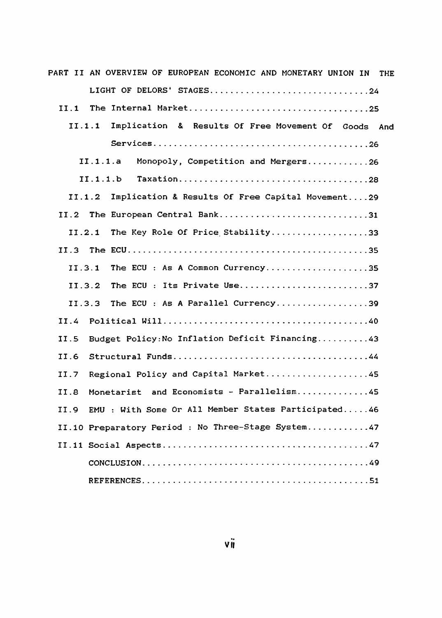| PART II AN OVERVIEW OF EUROPEAN ECONOMIC AND MONETARY UNION IN<br><b>THE</b> |
|------------------------------------------------------------------------------|
| LIGHT OF DELORS' STAGES24                                                    |
| II.1                                                                         |
| Implication & Results Of Free Movement Of Goods And<br>11.1.1                |
|                                                                              |
| II.1.1.a<br>Monopoly, Competition and Mergers26                              |
| II.1.1.b                                                                     |
| Implication & Results Of Free Capital Movement29<br>II.1.2                   |
| The European Central Bank31<br>II.2                                          |
| The Key Role Of Price Stability33<br>11.2.1                                  |
| II.3                                                                         |
| The ECU: As A Common Currency35<br>II.3.1                                    |
| The ECU : Its Private Use37<br>II.3.2                                        |
| The ECU: As A Parallel Currency39<br>II.3.3                                  |
| II.4                                                                         |
| Budget Policy: No Inflation Deficit Financing43<br>II.5                      |
| II.6                                                                         |
| Regional Policy and Capital Market45<br>II.7                                 |
| Monetarist and Economists - Parallelism45<br>II.B                            |
| II.9 EMU : With Some Or All Member States Participated46                     |
| II.10 Preparatory Period : No Three-Stage System47                           |
|                                                                              |
|                                                                              |
|                                                                              |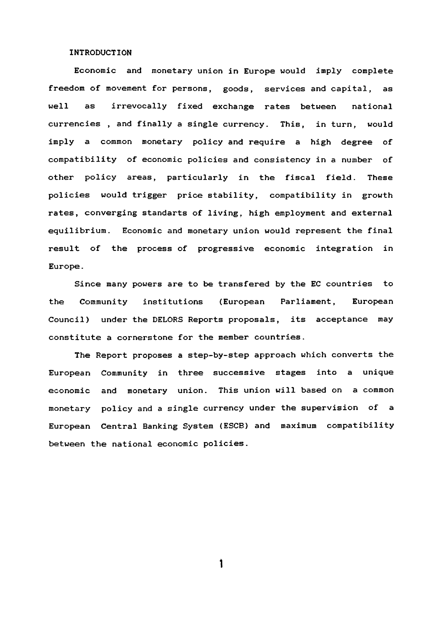### **INTRODUCTION**

**Economic and monetary union in Europe would imply complete freedom of movement for persons, goods, services and capital, as well as irrevocally fixed exchange rates between national currencies , and finally a single currency. This, in turn, would imply a common monetary policy and require a high degree of compatibility of economic policies and consistency in a number of other policy areas, particularly in the fiscal field. These policies would trigger price stability, compatibility in growth rates, converging standarts of living, high employment and external equilibrium. Economic and monetary union would represent the final result of the process of progressive economic integration in Europe.**

**Since many powers are to be transfered by the EC countries to the Community institutions (European Parliament, European Council) under the DELORS Reports proposals, its acceptance may constitute a cornerstone for the member countries.**

**The Report proposes a step-by-step approach which converts the European Community in three successive stages into a unique economic and monetary union. This union will based on a common monetary policy and a single currency under the supervision of a European Central Banking System (ESCB) and maximum compatibility between the national economic policies.**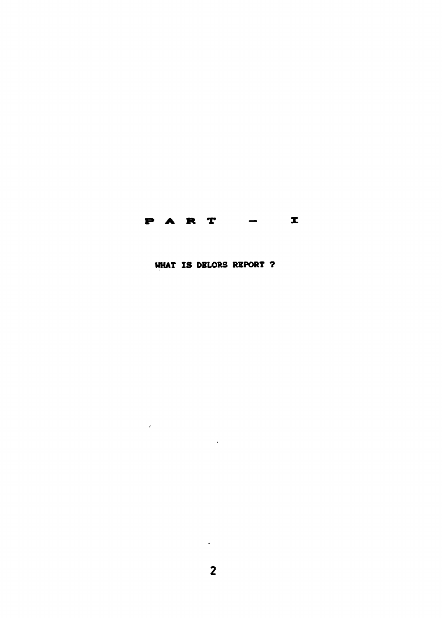# **PART** - I

**UHAT IS DELORS REPORT ?**

 $\sim$   $\sim$ 

 $\mathcal{L}(\mathcal{L})$  and  $\mathcal{L}(\mathcal{L})$  . The set of  $\mathcal{L}(\mathcal{L})$ 

 $\mathcal{L}(\mathcal{L})$  and  $\mathcal{L}(\mathcal{L})$  . The same  $\mathcal{L}(\mathcal{L})$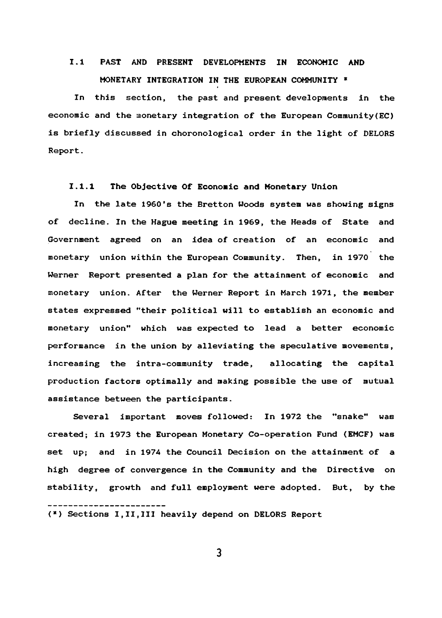# **1 .1 PAST AND PRESENT DEVELOPMENTS IN ECONOMIC AND MONETARY INTEGRATION IN THE EUROPEAN COMMUNITY \***

**In this section, the past and present developments in the** economic and the monetary integration of the European Community (EC) **is briefly discussed in choronological order in the light of DELORS Report.**

# **1.1.1 The Objective Of Economic and Monetary Union**

**In the late 1960's the Bretton Woods system was showing signs of decline. In the Hague meeting in 1969, the Heads of State and Government agreed on an idea of creation of an economic and monetary union within the European Community. Then, in 1970 the Werner Report presented a plan for the attainment of economic and monetary union. After the Werner Report in March 1971, the member states expressed "their political will to establish an economic and monetary union" which was expected to lead a better economic performance in the union by alleviating the speculative movements, increasing the intra-community trade, allocating the capital production factors optimally and making possible the use of mutual assistance between the participants.**

**Several important moves followed: In 1972 the "snake" was created; in 1973 the European Monetary Co-operation Fund (EMCF) was set up; and in 1974 the Council Decision on the attainment of a high degree of convergence in the Community and the Directive on stability, growth and full employment were adopted. But, by the**

 $\overline{\mathbf{3}}$ 

**<sup>(\*)</sup> Sections I,II,III heavily depend on DELORS Report**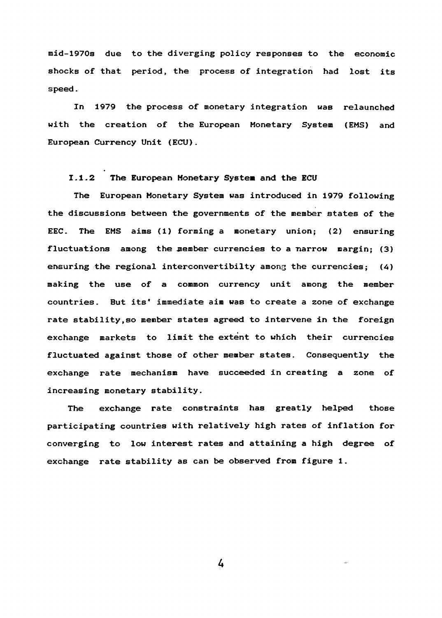**mid-1970s due to the diverging policy responses to the economic shocks of that period, the process of integration had lost its speed.**

**In 1979 the process of monetary integration was relaunched with the creation of the European Monetary System (EMS) and European Currency Unit (ECU).**

# **1.1.2 The European Monetary System and the ECU**

**The European Monetary System was introduced in 1979 following the discussions between the governments of the member states of the EEC. The EMS aims (1) forming a monetary union; (2) ensuring** fluctuations among the member currencies to a narrow margin; (3) **ensuring the regional interconvertibilty among the currencies; (4) making the use of a common currency unit among the member countries. But its\* immediate aim was to create a zone of exchange rate stability,so member states agreed to intervene in the foreign exchange markets to limit the extent to which their currencies fluctuated against those of other member states. Consequently the exchange rate mechanism have succeeded in creating a zone of increasing monetary stability.**

**The exchange rate constraints has greatly helped those participating countries with relatively high rates of inflation for converging to low interest rates and attaining a high degree of exchange rate stability as can be observed from figure 1.**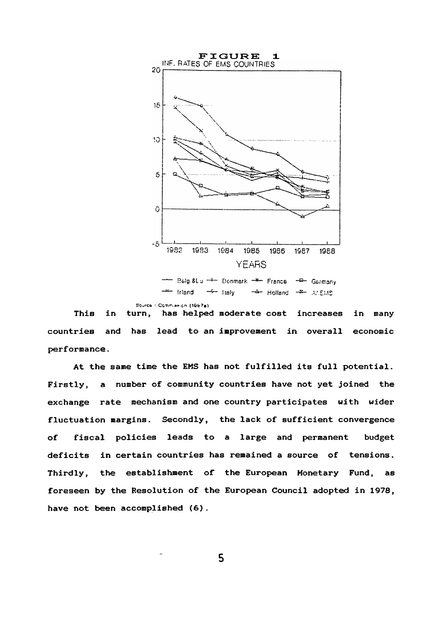

**Irland**  $\rightarrow$  Italy **Holland Elvis**

**Sourcii : CcTirTi BQ. cn**

**This in turn. has helped moderate cost increases in many countries and has lead to an improvement in overall economic performance.**

**At the sane time the EMS has not fulfilled its full potential. Firstly, a number of community countries have not yet joined the exchange rate mechanism and one country participates with wider fluctuation margins. Secondly, the lack of sufficient convergence of fiscal policies leads to a large and permanent budget deficits in certain countries has remained a source of tensions. Thirdly, the establishment of the European Monetary Fund, as foreseen by the Resolution of the European Council adopted in 1978, have not been accomplished (6).**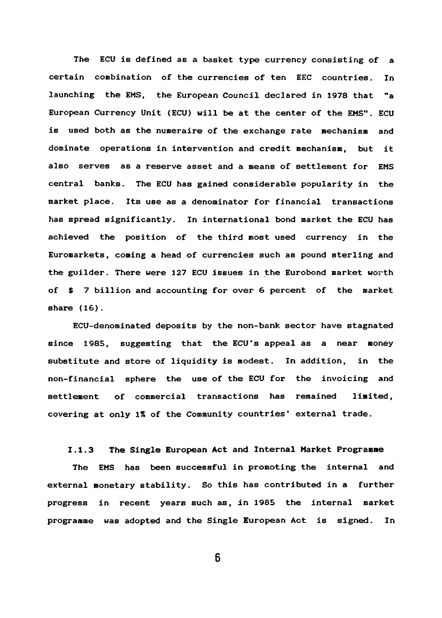**The ECU is defined as a basket type currency consisting of a certain combination of the currencies of ten EEC countries. In** launching the EMS, the European Council declared in 1978 that "a **European Currency Unit (ECU) will be at the center of the EMS". ECU is used both as the numeraire of the exchange rate mechanism and dominate operations in intervention and credit mechanism, but it also serves as a reserve asset and a means of settlement for EMS central banks. The ECU has gained considerable popularity in the market place. Its use as a denominator for financial transactions has spread significantly. In international bond market the ECU has achieved the position of the third most used currency in the Euromarkets, coming a head of currencies such as pound sterling and the guilder. There were 127 ECU issues in the Eurobond market worth of \$ 7 billion and accounting for over 6 percent of the market share (16).**

**ECU-denominated deposits by the non-bank sector have stagnated since 1985, suggesting that the ECU's appeal as a near money substitute and store of liquidity is modest. In addition, in the non-financial sphere the use of the ECU for the invoicing and settlement of commercial transactions has remained limited, covering at only 1^ of the Community countries' external trade.**

# **1.1.3 The Single European Act and Internal Market Programme**

**The EMS has been successful in promoting the internal and external monetary stability. So this has contributed in a further progress in recent years such as, in 1985 the internal market programme was adopted and the Single European Act is signed. In**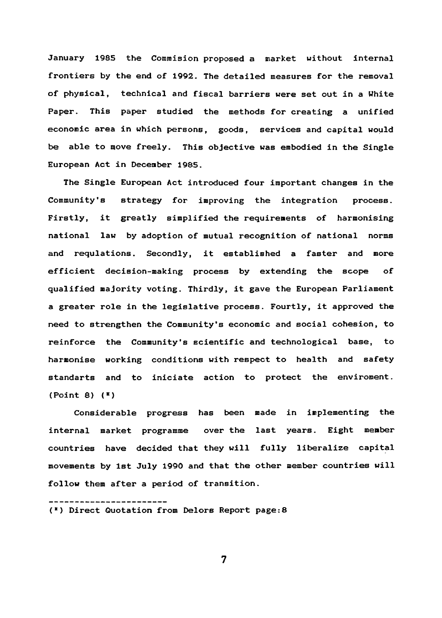January 1985 the Commision proposed a market without internal **frontiers by the end of 1992. The detailed measures for the removal of physical, technical and fiscal barriers were set out in a White Paper. This paper studied the methods for creating a unified economic area in which persons, goods, services and capital would be able to move freely. This objective was embodied in the Single European Act in December 1985.**

**The Single European Act introduced four important changes in the Community's strategy for improving the integration process. Firstly, it greatly simplified the requirements of harmonising national law by adoption of mutual recognition of national norms and requlations. Secondly, it established a faster and more efficient decision-making process by extending the scope of qualified majority voting. Thirdly, it gave the European Parliament a greater role in the legislative process. Fourtly, it approved the need to strengthen the Community's economic and social cohesion, to reinforce the Community's scientific and technological base, to harmonise working conditions with respect to health and safety standarts and to iniciate action to protect the enviroment. {Point 8) (\*)**

**Considerable progress has been made in implementing the internal market programme over the last years. Eight member countries have decided that they will fully liberalize capital movements by 1st July 1990 and that the other member countries will follow them after a period of transition.**

------------------**(·) Direct Quotation from Delors Report page:8**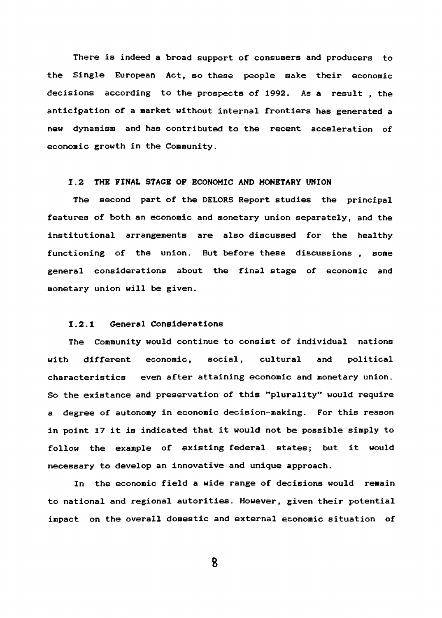**There is indeed a broad support of consumers and producers to the Single European Act, so these people make their economic decisions according to the prospects of 1992. As a result , the anticipation of a market without internal frontiers has generated a new dynamism and has contributed to the recent acceleration of economic growth in the Community.**

# **1.2 THE FINAL STAGE OF ECONOMIC AND MONETARY UNION**

**The second part of the DELORS Report studies the principal features of both an economic and monetary union separately, and the institutional arrangements are also discussed for the healthy functioning of the union. But before these discussions , some general considerations about the final stage of economic and monetary union will be given.**

# **1.2.1 General Considerations**

**The Community would continue to consist of individual nations with different economic, social, cultural and political characteristics even after attaining economic and monetary union. So the existance and preservation of this ''plurality" would require a degree of autonomy in economic decision-making. For this reason in point 17 it is indicated that it would not be possible simply to follow the example of existing federal states; but it would necessary to develop an innovative and unique approach.**

**In the economic field a wide range of decisions would remain to national and regional autorities. However, given their potential impact on the overall domestic and external economic situation of**

**B**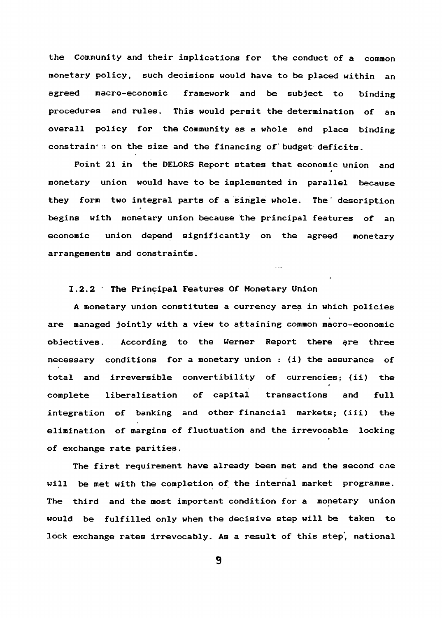**the Community and their Implications for the conduct of a common monetary policy, such decisions would have to be placed within an agreed macro-economic framework and be subject to binding procedures and rules. This would permit the determination of an overall policy for the Community as a whole and place binding** constrain 3 on the size and the financing of budget deficits.

**Point 21 in the DELORS Report states that economic union and monetary union would have to be implemented in parallel because** they form two integral parts of a single whole. The description **begins with monetary union because the principal features of an economic union depend significantly on the agreed monetary arrangements and constraints.**

 $\sim$   $\sim$ 

# **1.2.2 ■ The Fhrincipal Features Of Monetary Union**

**A monetary union constitutes a currency area in which policies are managed jointly with a view to attaining common macro-economic objectives. According to the Werner Report there ere three necessary conditions for a monetary union : (i) the assurance of total and irreversible convertibility of currencies; (ii) the complete liberalisation of capital transactions and full integration of banking and other financial markets; (iii) the elimination of margins of fluctuation and the irrevocable locking of exchange rate parities.**

**The first requirement have already been met and the second cne will be met with the completion of the internal market programme. The third and the most important condition for a monetary union would be fulfilled only when the decisive step will be taken to lock exchange rates irrevocably. As a result of this step', national**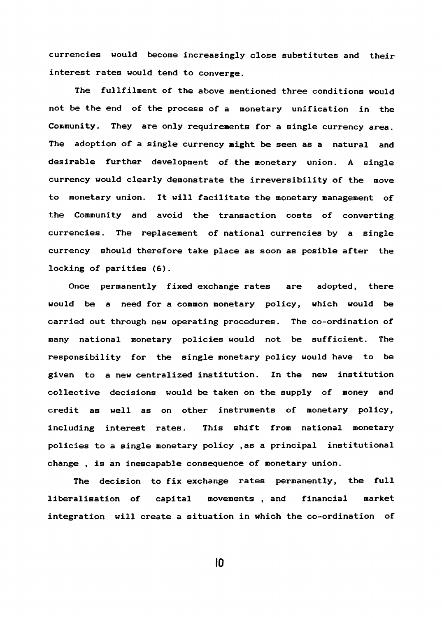**currencies would become increasingly close substitutes and their interest rates would tend to converge.**

**The fullfilment of the above mentioned three conditions would not be the end of the process of a monetary unification in the Community. They are only requirements for a single currency area. The adoption of a single currency might be seen as a natural and desirable further development of the monetary union. A single currency would clearly demonstrate the irreversibility of the move to monetary union. It will facilitate the monetary management of the Community and avoid the transaction costs of converting currencies. The replacement of national currencies by a single currency should therefore take place as soon as posible after the locking of parities (6).**

**Once permanently fixed exchange rates are adopted, there would be a need for a common monetary policy, which would be carried out through new operating procedures. The co-ordination of many national monetary policies would not be sufficient. The responsibility for the single monetary policy would have to be given to a new centralized institution. In the new institution collective decisions would be taken on the supply of money and credit as well as on other instruments of monetary policy, including interest rates. This shift from national monetary policies to a single monetary policy ,as a principal institutional change , is an inescapable consequence of monetary union.**

**The decision to fix exchange rates permanently, the full liberalisation of capital movements , and financial market integration will create a situation in which the co-ordination of**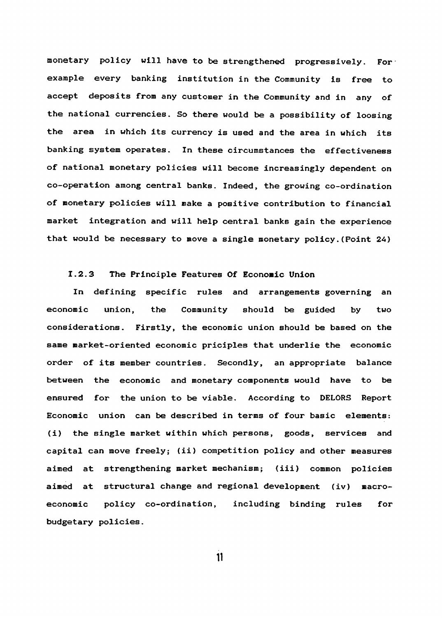monetary policy will have to be strengthened progressively. For **example every banking institution in the Community is free to accept deposits from any customer in the Community and in any of the national currencies. So there would be a possibility of loosing the area in which its currency is used and the area in which its banking system operates. In these circumstances the effectiveness of national monetary policies will become increasingly dependent on co-operation among central banks. Indeed, the growing co-ordination of monetary policies will make a positive contribution to financial market integration and will help central banks gain the experience that would be necessary to move a single monetary policy.(Point 24)**

# **1.2.3 The Principle Features Of Economic Union**

**In defining specific rules and arrangements governing an economic union, the Community should be guided by two considerations. Firstly, the economic union should be based on the same market-oriented economic priciples that underlie the economic order of its member countries. Secondly, an appropriate balance between the economic and monetary components would have to be ensured for the union to be viable. According to DELORS Report Economic union can be described in terms of four basic elements: (i) the single market within which persons, goods, services and capital can move freely; (ii) competition policy and other measures aimed at strengthening market mechanism; (iii) common policies aimed at structural change and regional development (iv) macroeconomic policy co-ordination, including binding rules for budgetary policies.**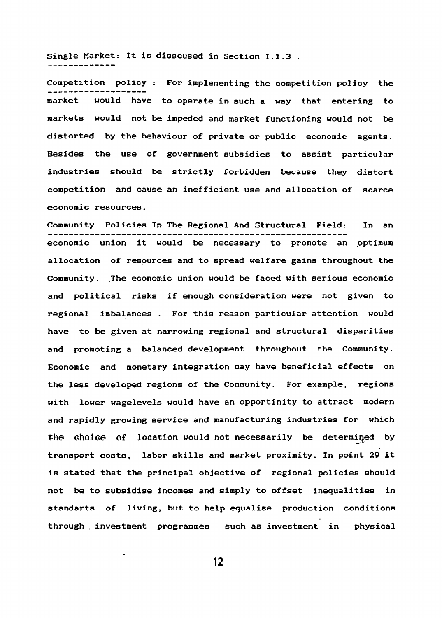**Single Market: It is disscused in Section 1.1.3 .** -------------

**Competition policy : For implementing the competition policy the market would have to operate in such a way that entering to markets would not be impeded and market functioning would not be distorted by the behaviour of private or public economic agents. Besides the use of government subsidies to assist particular industries should be strictly forbidden because they distort competition and cause an inefficient use and allocation of scarce economic resources.**

**Community Policies In The Regional And Structural Field: In an economic union it would be necessary to promote an optimum allocation of resources and to spread welfare gains throughout the Community. The economic union would be faced with serious economic and political risks if enough consideration were not given to regional imbalances . For this reason particular attention would have to be given at narrowing regional and structural disparities and promoting a balanced development throughout the Community. Economic and monetary integration may have beneficial effects on the less developed regions of the Community. For example, regions with lower wagelevels would have an opportinity to attract modern and rapidly growing service and manufacturing industries for which** the choice of location would not necessarily be determined by **transport costs, labor skills and market proximity. In point 29 it is stated that the principal objective of regional policies should not be to subsidise incomes and simply to offset inequalities in standarts of living, but to help equalise production conditions through , investment programmes such as investment in physical**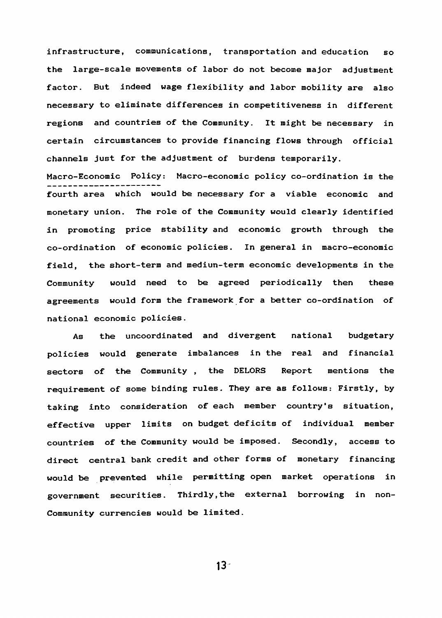**infrastructure, communications, transportation and education so the large-scale movements of labor do not become major adjustment factor. But indeed wage flexibility and labor mobility are also necessary to eliminate differences in competitiveness in different regions and countries of the Community. It might be necessary in certain circumstances to provide financing flows through official channels just for the adjustment of burdens temporarily.**

**Macro-Economic Policy: Macro-economic policy co-ordination is the fourth area which would be necessary for a viable economic and monetary union. The role of the Community would clearly identified in promoting price stability and economic growth through the co-ordination of economic policies. In general in macro-economic field, the short-term and mediun-term economic developments in the Community would need to be agreed periodically then these agreements would form the framework for a better co-ordination of national economic policies.**

**As the uncoordinated and divergent national budgetary policies would generate imbalances in the real and financial sectors of the Community , the DELORS Report mentions the requirement of some binding rules. They are as follows: Firstly, by taking into consideration of each member country's situation, effective upper limits on budget deficits of individual member countries of the Community would be imposed. Secondly, access to direct central bank credit and other forms of monetary financing would be prevented while permitting open market operations in government securities. Thirdly,the external borrowing in non-Comraunity currencies would be limited.**

 $13 -$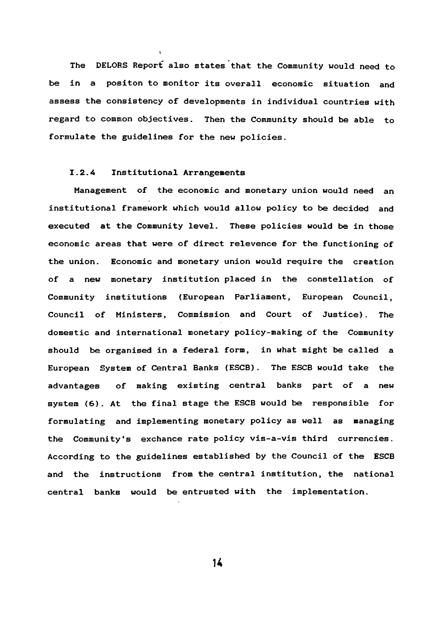**The DELORS Report also states that the Community would need to be in a positon to monitor its overall economic situation and assess the consistency of developments in individual countries with regard to common objectives. Then the Community should be able to formulate the guidelines for the new policies.**

# **1.2.4 Institutional Arrangements**

**Management of the economic and monetary union would need an institutional framework which would allow policy to be decided and executed at the Community level. These policies would be in those economic areas that were of direct relevence for the functioning of the union. Economic and monetary union would require the creation of a new monetary institution placed in the constellation of Community institutions (European Parliament, European Council, Council of Ministers, Commission and Court of Justice). The domestic and international monetary policy-making of the Community should be organised in a federal form, in what might be called a European System of Central Banks (ESCB). The ESCB would take the advantages of making existing central banks part of a new system (6). At the final stage the ESCB would be responsible for formulating and implementing monetary policy as well as managing the Community's exchance rate policy vis-a-vis third currencies. According to the guidelines established by the Council of the ESCB and the instructions from the central institution, the national central banks would be entrusted with the implementation.**

**u**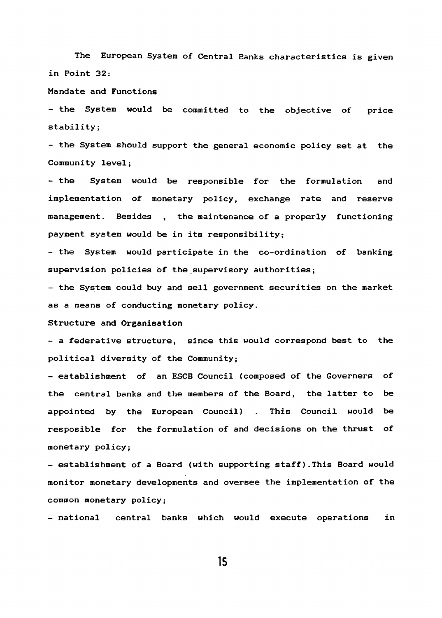**The European System of Central Banks characteristics is given in Point 32:**

# **Mandate and Functions**

**- the System would be committed to the objective of price stability;**

**- the System should support the general economic policy set at the Community level ;**

**- the System would be responsible for the formulation and implementation of monetary policy, exchange rate and reserve** management. Besides , the maintenance of a properly functioning **payment system would be in its responsibility;**

**- the System would participate in the co-ordination of banking supervision policies Of the supervisory authorities;**

**- the System could buy and sell government securities on the market as a means of conducting monetary policy.**

#### **Structure and Organisation**

**- a federative structure, since this would correspond best to the political diversity of the Community;**

**- establishment of an ESCB Council (composed of the Governers of the central banks and the members of the Board, the latter to be appointed by the European Council) . This Council would be resposible for the formulation of and decisions on the thrust of monetary policy;**

**- establishment of a Board (with supporting staff).This Board would monitor monetary developments and oversee the implementation of the common monetary policy;**

**- national central banks which would execute operations in**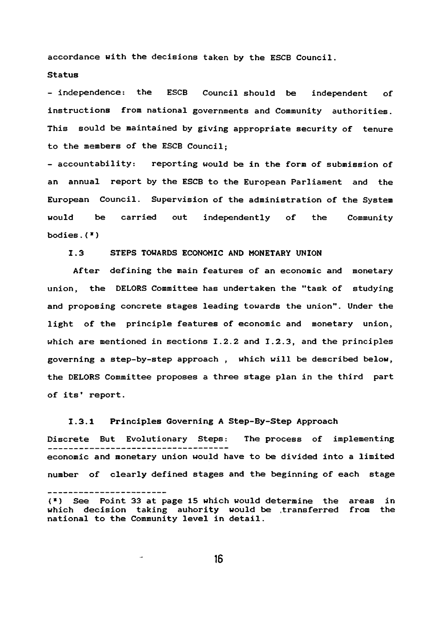**accordance with the decisions taken by the ESCB Council.**

# **Status**

**- independence: the ESCB Council should be independent of instructions from national governments and Community authorities. This sould be maintained by giving appropriate security of tenure to the members of the ESCB Council;**

**- accountability: reporting would be in the form of submission of an annual report by the ESCB to the European Parliament and the European Council. Supervision of the administration of the System would be carried out independently of the Community bodies.(»)**

# **1.3 STEPS TOWARDS ECONOMIC AND MONETARY UNION**

**After defining the main features of an economic and monetary union, the DELORS Committee has undertaken the "task of studying and proposing concrete stages leading towards the union". Under the light of the principle features of economic and monetary union, which are mentioned in sections 1.2.2 and 1.2.3, and the principles governing a step-by-step approach , which will be described below, the DELORS Committee proposes a three stage plan in the third part of its' report.**

### **1.3.1 Principles Governing A Step-By-Step Approach**

**Discrete But Evolutionary Steps: The process of implementing economic and monetary union would have to be divided into a limited** number of clearly defined stages and the beginning of each stage

**<sup>(\*)</sup> See Point 33 at page 15 which would determine the areas in which decision taking auhority would be .transferred from the national to the Community level in detail.**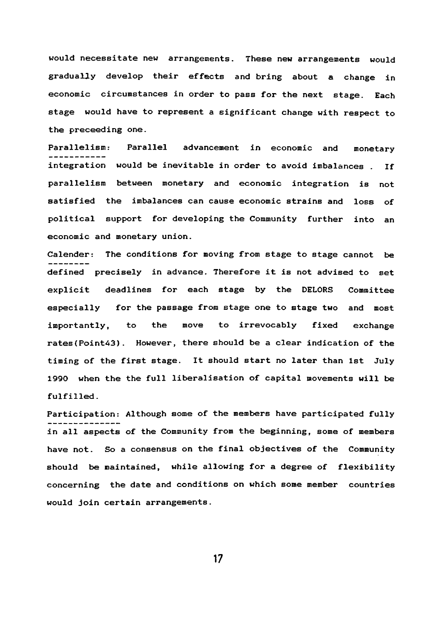**would necessitate new arrangements. These new arrangements would gradually develop their effects and bring about a change in economic circumstances in order to pass for the next stage. Each stage would have to represent a significant change with respect to the preceeding one.**

**Parallelism: Parallel advancement in economic and monetary integration would be inevitable in order to avoid imbalances . If parallelism between monetary and economic integration is not satisfied the imbalances can cause economic strains and loss of political support for developing the Community further into an economic and monetary union.**

**Calender: The conditions for moving from stage to stage cannot be defined precisely in advance. Therefore it is not advised to set explicit deadlines for each stage by the DELORS Committee especially for the passage from stage one to stage two and most importantly, to the move to irrevocably fixed exchange rates(Point43). However, there should be a clear indication of the timing of the first stage. It should start no later than 1st July 1990 when the the full liberalisation of capital movements will be fulfilled.**

**Participation: Although some of the members have participated fully in all aspects of the Community from the beginning, some of members have not. So a consensus on the final objectives of the Community should be maintained, while allowing for a degree of flexibility concerning the date and conditions on which some member countries would join certain arrangements.**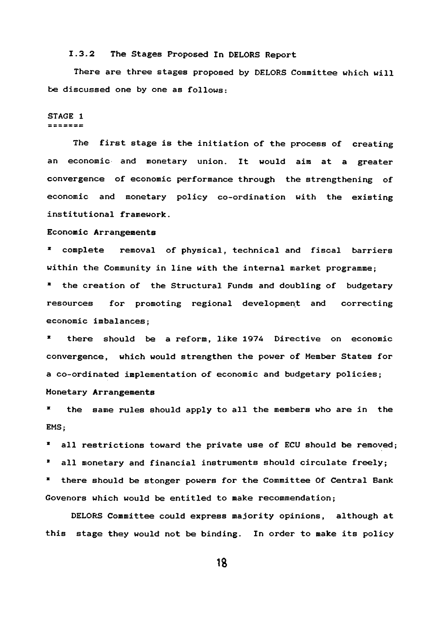### **1.3.2 The Stages Proposed In DELORS Report**

**There are three stages proposed by DELORS Committee which will be discussed one by one as follows;**

#### **STAGE 1**  $= 22222$

**The first stage is the initiation of the process of creating an economic and monetary union. It would aim at a greater convergence of economic performance through the strengthening of economic and monetary policy co-ordination with the existing institutional framework.**

### **Economic Arrangements**

**\* complete removal of physical, technical and fiscal barriers within the Community in line with the internal market programme;**

**\* the creation of the Structural Funds and doubling of budgetary resources for promoting regional development and correcting economic imbalances;**

**\* there should be a reform, like 197A Directive on economic convergence, which would strengthen the power of Member States for a co-ordinated implementation of economic and budgetary policies; Monetary Arrangements**

**\* the same rules should apply to all the members who are in the EMS;**

**\* all restrictions toward the private use of ECU should be removed;**

**\* all monetary and financial instruments should circulate freely;**

**\* there should be stonger powers for the Committee Of Central Bank Governors which would be entitled to make recommendation;**

**DELORS Committee could express majority opinions, although at this stage they would not be binding. In order to make its policy**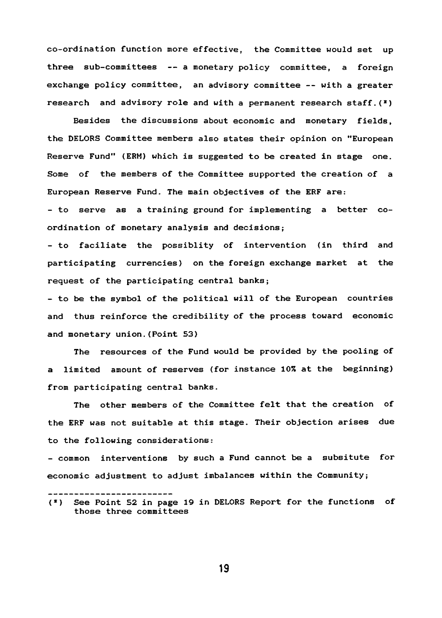**co-ordination function more effective, the Committee would set up three sub-committees — a monetary policy committee, a foreign exchange policy committee, an advisory committee -- with a greater** research and advisory role and with a permanent research staff.(<sup>x</sup>)

**Besides the discussions about economic and monetary fields, the DELORS Committee members also states their opinion on "European Reserve Fund" (ERM) which is suggested to be created in stage one. Some of the members of the Committee supported the creation of a European Reserve Fund. The main objectives of the ERF are;**

**- to serve as a training ground for implementing a better coordination of monetary analysis and decisions;**

**- to faciliate the possiblity of intervention (in third and participating currencies) on the foreign exchange market at the request of the participating central banks;**

**- to be the symbol of the political will of the European countries and thus reinforce the credibility of the process toward economic and monetary union.(Point 53)**

**The resources of the Fund would be provided by the pooling of a limited amount of reserves (for instance 10% at the beginning) from participating central banks.**

**The other members of the Committee felt that the creation of the ERF was not suitable at this stage. Their objection arises due to the following considerations:**

**- common interventions by such a Fund cannot be a subsitute for economic adjustment to adjust imbalances within the Community;**

**<sup>(\*)</sup> See Point 52 in page 19 in DELORS Report for the functions of those three committees**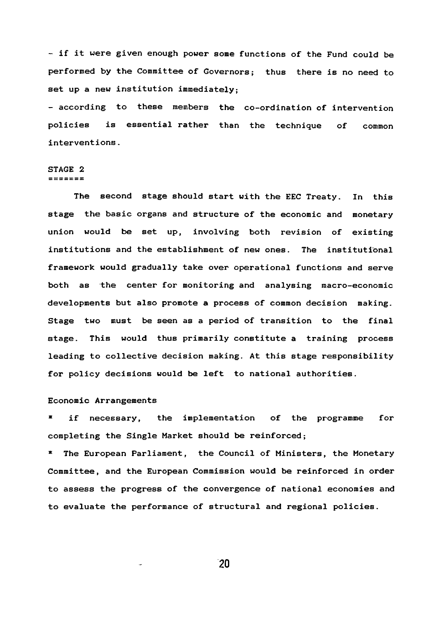**- if it were given enough power some functions of the Fund could be performed by the Committee of Governors; thus there is no need to set up a new institution immediately;**

**- according to these members the co-ordination of intervention policies is essential rather than the technique of common interventions.**

### **STAGE 2** =======

**The second stage should start with the EEC Treaty. In this stage the basic organs and structure of the economic and monetary union would be set up, involving both revision of existing institutions and the establishment of new ones. The institutional framework would gradually take over operational functions and serve both as the center for monitoring and analysing macro-economic developments but also promote a process of common decision making. Stage two must be seen as a period of transition to the final stage. This would thus primarily constitute a training process leading to collective decision making. At this stage responsibility for policy decisions would be left to national authorities.**

# **Economic Arrangements**

**■ if necessary, the implementation of the programme for completing the Single Market should be reinforced;**

**\* The European Parliament, the Council of Ministers, the Monetary Committee, and the European Commission would be reinforced in order to assess the progress of the convergence of national economies and to evaluate the performance of structural and regional policies.**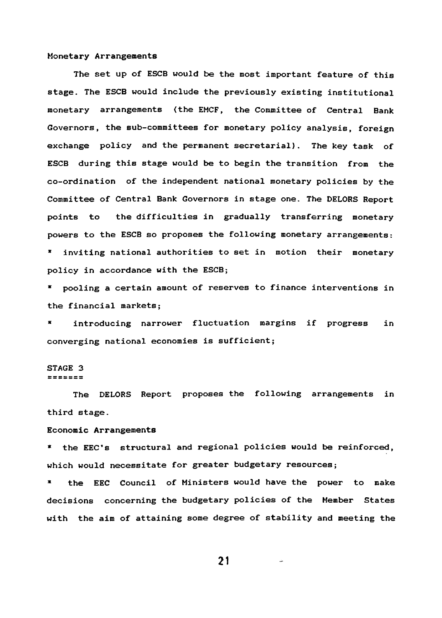#### **Monetary Arrangements**

**The set up of ESCB would be the most important feature of this stage. The ESCB would include the previously existing institutional monetary arrangements (the EMCF, the Committee of Central Bank Governors, the sub-committees for monetary policy analysis, foreign exchange policy and the permanent secretarial). The key task of ESCB during this stage would be to begin the transition from the co-ordination of the independent national monetary policies by the Committee of Central Bank Governors in stage one. The DELORS Report points to the difficulties in gradually transferring monetary powers to the ESCB so proposes the following monetary arrangements: \* inviting national authorities to set in motion their monetary policy in accordance with the ESCB;**

**\* pooling a certain amount of reserves to finance interventions in the financial markets;**

**\* introducing narrower fluctuation margins if progress in converging national economies is sufficient;**

# **STAGE 3**

 $= 2222222$ 

**The DELORS Report proposes the following arrangements in third stage.**

### **Economic Arrangements**

**\* the EEC's structural and regional policies would be reinforced, which would necessitate for greater budgetary resources;**

**\* the EEC Council of Ministers would have the power to make decisions concerning the budgetary policies of the Member States with the aim of attaining some degree of stability and meeting the**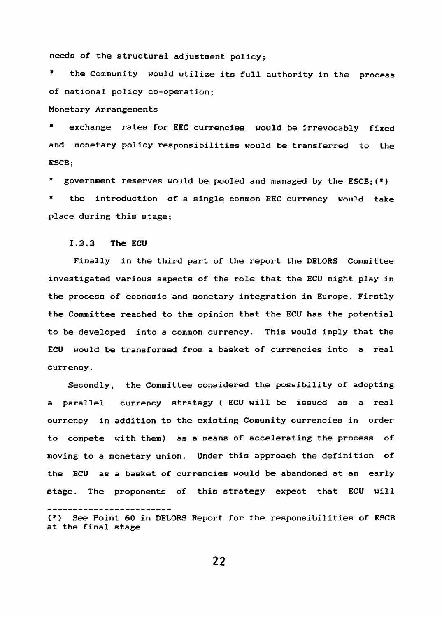**needs of the structural adjustment policy;**

**\* the Community would utilize its full authority in the process of national policy co-operation;**

**Monetary Arrangements**

**\* exchange rates for EEC currencies would be irrevocably fixed and monetary policy responsibilities would be transferred to the ESCB;**

**\* government reserves would be pooled and managed by the ESCB;(\*) \* the introduction of a single common EEC currency would take**

**place during this stage;**

# **1.3.3 The ECU**

**Finally in the third part of the report the DELORS Committee investigated various aspects of the role that the ECU might play in the process of economic and monetary integration in Europe. Firstly the Committee reached to the opinion that the ECU has the potential to be developed into a common currency. This would imply that the ECU would be transformed from a basket of currencies into a real currency.**

**Secondly, the Committee considered the possibility of adopting a parallel currency strategy { ECU will be issued as a real currency in addition to the existing Comunity currencies in order to compete with them) as a means of accelerating the process of moving to a monetary union. Under this approach the definition of the ECU as a basket of currencies would be abandoned at an early stage. The proponents of this strategy expect that ECU will**

**(\*) See Point 60 in DELORS Report for the responsibilities of ESCB at the final stage**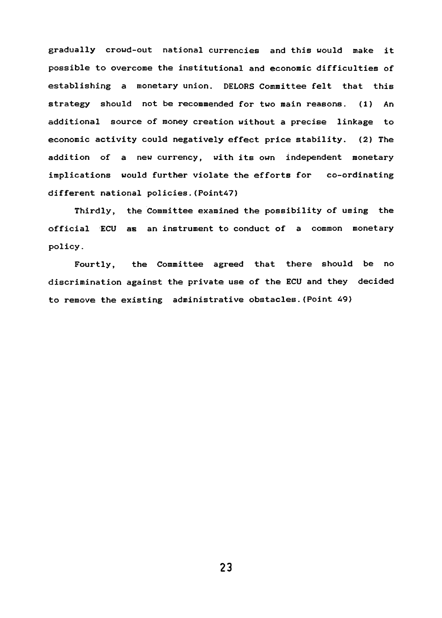**gradually crowd-out national currencies and this would make it possible to overcome the institutional and economic difficulties of establishing a monetary union. DELORS Committee felt that this strategy should not be recommended for two main reasons. (1) An additional source of money creation without a precise linkage to economic activity could negatively effect price stability. (2) The addition of a new currency, with its own independent monetary implications would further violate the efforts for co-ordinating different national policies.(PointA?)**

**Thirdly, the Committee examined the possibility of using the official ECU as an instrument to conduct of a common monetary policy.**

**Fourtly, the Committee agreed that there should be no discrimination against the private use of the ECU and they decided to remove the existing administrative obstacles.{Point 49)**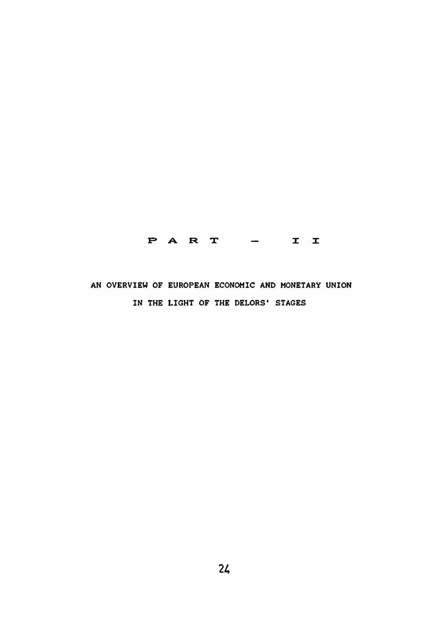# **F> A R T I I**

# **AN OVERVIEW OF EUROPEAN ECONOMIC AND MONETARY UNION** IN THE LIGHT OF THE DELORS' STAGES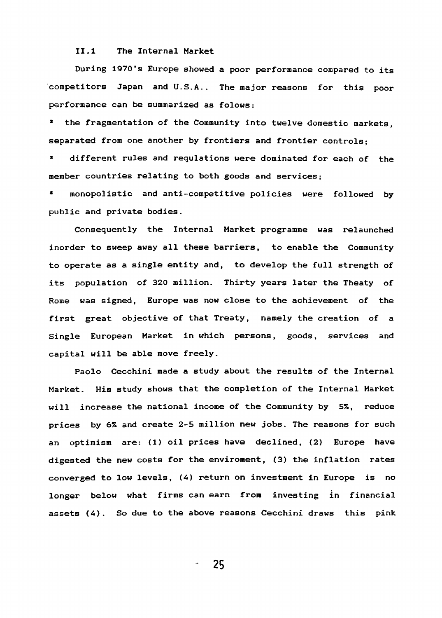#### **II.1 The Internal Market**

**During 1970's Europe showed a poor performance compared to its competitors Japan and U.S.A.. The major reasons for this poor performance can be summarized as folows:**

**\* the fragmentation of the Community into twelve domestic markets, separated from one another by frontiers and frontier controls;**

**\* different rules and requlations were dominated for each of the member countries relating to both goods and services;**

**\* monopolistic and anti-competitive policies were followed by public and private bodies.**

**Consequently the Internal Market programme was relaunched inorder to sweep away all these barriers, to enable the Community to operate as a single entity and, to develop the full strength of its population of 320 million. Thirty years later the Theaty of Rome was signed, Europe was now close to the achievement of the first great objective of that Treaty, namely the creation of a Single European Market in which persons, goods, services and capital will be able move freely.**

**Paolo Cecchini made a study about the results of the Internal Market. His study shows that the completion of the Internal Market will increase the national income of the Community by** *S%,* **reduce prices by** *6%* **and create 2-5 million new jobs. The reasons for such an optimism are: (1) oil prices have declined, (2) Europe have digested the new costs for the enviroment, <3) the inflation rates converged to low levels, (<4) return on investment in Europe is no longer below what firms can earn from investing in financial assets (4). So due to the above reasons Cecchini draws this pink**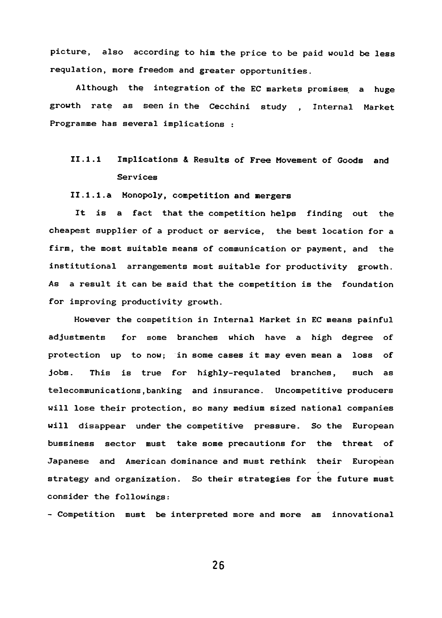**picture, also according to him the price to be paid would be less requlation, more freedom and greater opportunities.**

**Although the integration of the EC markets promises a huge growth rate as seen in the Cecchini study , Internal Market Programme has several implications :**

# **II.1.1 Implications & Results of Free Movement of Goods and Services**

**II.1.1.a Monopoly, competition and mergers**

**It is a fact that the competition helps finding out the** cheapest supplier of a product or service, the best location for a **firm, the most suitable means of communication or payment, and the institutional arrangements most suitable for productivity growth. As a result it can be said that the competition is the foundation for improving productivity growth.**

**However the competition in Internal Market in EC means painful adjustments for some branches which have a high degree of protection up to now; in some cases it may even mean a loss of jobs. This is true for highly-requlated branches, such as telecommunications,banking and insurance. Uncompetitive producers will lose their protection, so many medium sized national companies will disappear under the competitive pressure. So the European bussiness sector must take some precautions for the threat of Japanese and American dominance and must rethink their European strategy and organization. So their strategies for the future must consider the followings:**

**- Competition must be interpreted more and more as innovational**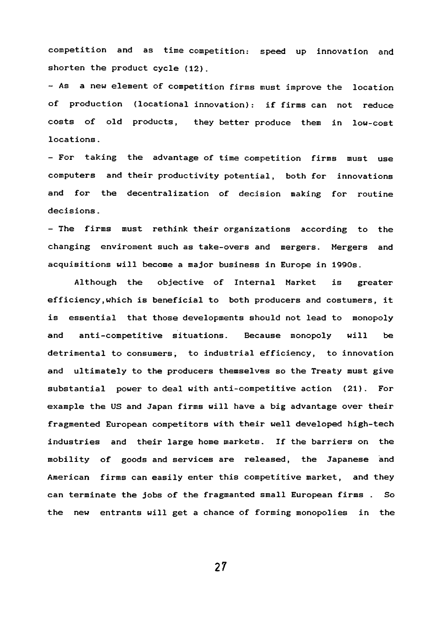**competition and as time competition: speed up innovation and shorten the product cycle (12).**

**- As a new element of competition firms must improve the location of production (locational innovation): if firms can not reduce costs of old products, they better produce them in low-cost locations.**

**- For taking the advantage of time competition firms must use computers and their productivity potential, both for innovations and for the decentralization of decision making for routine decisions.**

**- The firms must rethink their organizations according to the changing enviroment such as take-overs and mergers. Mergers and acquisitions will become a major business in Europe in 1990s.**

**Although the objective of Internal Market is greater efficiency,which is beneficial to both producers and costumers, it is essential that those developments should not lead to monopoly and anti-competitive situations. Because monopoly will be detrimental to consumers, to industrial efficiency, to innovation and ultimately to the producers themselves so the Treaty must give substantial power to deal with anti-competitive action (21). For example the US and Japan firms will have a big advantage over their** fragmented European competitors with their well developed high-tech **industries and their large home markets. If the barriers on the mobility of goods and services are released, the Japanese and American firms can easily enter this competitive market, and they can terminate the jobs of the fragmanted small European firms . So the new entrants will get a chance of forming monopolies in the**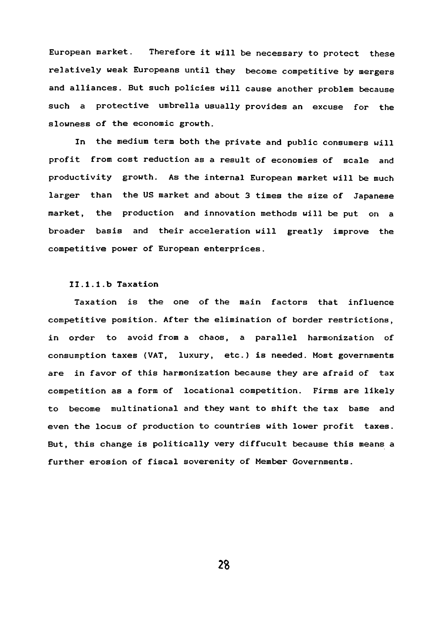**European market. Therefore it will be necessary to protect these relatively weak Europeans until they become competitive by mergers and alliances. But such policies will cause another problem because such a protective umbrella usually provides an excuse for the slowness of the economic growth.**

**In the medium term both the private and public consumers will profit from cost reduction as a result of economies of scale and productivity growth. As the internal European market will be much larger than the US market and about 3 times the size of Japanese market, the production and innovation methods will be put on a broader basis and their acceleration will greatly improve the competitive power of European enterprices.**

### **Il.l.l.b Taxation**

**Taxation is the one of the main factors that influence competitive position. After the elimination of border restrictions, in order to avoid from a chaos, a parallel harmonization of consumption taxes (VAT, luxury, etc.) is needed. Most governments are in favor of this harmonization because they are afraid of tax competition as a form of locational competition. Firms are likely to become multinational and they want to shift the tax base and even the locus of production to countries with lower profit taxes. But, this change is politically very diffucult because this means a further erosion of fiscal soverenity of Member Governments.**

*2 %*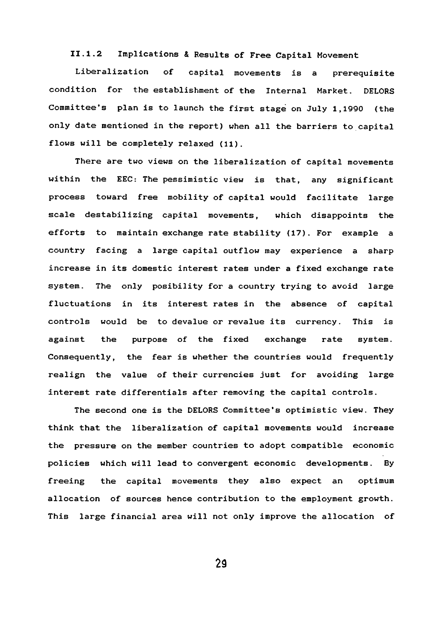# **II.1.2 Implications & Results of Free Capital Movement**

**Liberalization of capital movements is a prerequisite condition for the establishment of the Internal Market. DELORS Committee's plan is to launch the first stage on July 1,1990 {the only date mentioned in the report) when all the barriers to capital flows will be completely relaxed (11).**

**There are two views on the liberalization of capital movements within the EEC: The pessimistic view is that, any significant process toward free mobility of capital would facilitate large scale destabilizing capital movements, which disappoints the efforts to maintain exchange rate stability (17). For example a country facing a large capital outflow may experience a sharp increase in its domestic interest rates under a fixed exchange rate system. The only posibility for a country trying to avoid large fluctuations in its interest rates in the absence of capital controls would be to devalue or revalue its currency. This is against the purpose of the fixed exchange rate system. Consequently, the fear is whether the countries would frequently realign the value of their currencies just for avoiding large interest rate differentials after removing the capital controls.**

**The second one is the DELORS Committee's optimistic view. They think that the liberalization of capital movements would increase the pressure on the member countries to adopt compatible economic policies which will lead to convergent economic developments. By freeing the capital movements they also expect an optimum allocation of sources hence contribution to the employment growth. This large financial area will not only improve the allocation of**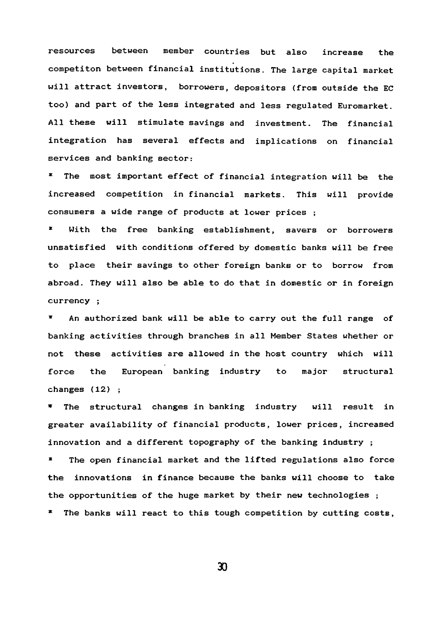**resources between member countries but also increase the competiton between financial institutions. The large capital market will attract investors, borrowers, depositors (from outside the EC too) and part of the less integrated and less regulated Euromarket. All these will stimulate savings and investment. The financial integration has several effects and implications on financial services and banking sector:**

**\* The most important effect of financial integration will be the increased competition in financial markets. This will provide consumers a wide range of products at lower prices ;**

**\* With the free banking establishment, savers or borrowers unsatisfied with conditions offered by domestic banks will be free to place their savings to other foreign banks or to borrow from abroad. They will also be able to do that in domestic or in foreign currency ;**

**\* An authorized bank will be able to carry out the full range of banking activities through branches in all Member States whether or not these activities are allowed in the host country which will force the European banking industry to major structural changes (12) ;**

**The structural changes in banking industry will result in greater availability of financial products, lower prices, increased innovation and a different topography of the banking industry ;**

**\* The open financial market and the lifted regulations also force the innovations in finance because the banks will choose to take the opportunities of the huge market by their new technologies ;**

**\* The banks will react to this tough competition by cutting costs.**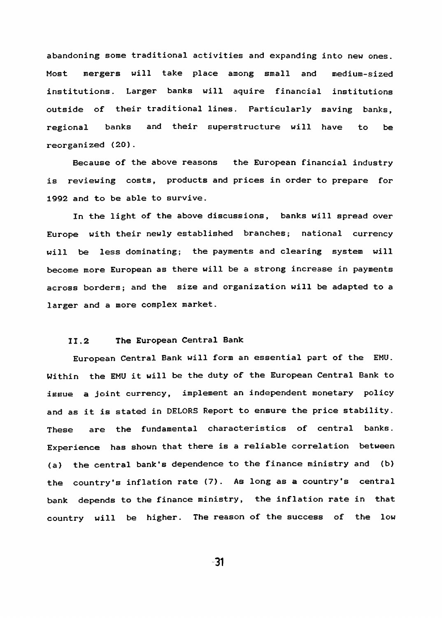**abandoning some traditional activities and expanding into new ones. Most mergers will take place among small and medium-sized institutions. Larger banks will aquire financial institutions outside of their traditional lines. Particularly saving banks, regional banks and their superstructure will have to be reorganized (20).**

**Because of the above reasons the European financial industry is reviewing costs, products and prices in order to prepare for 1992 and to be able to survive.**

**In the light of the above discussions, banks will spread over Europe with their newly established branches; national currency will be less dominating; the payments and clearing system will become more European as there will be a strong increase in payments across borders; and the size and organization will be adapted to a larger and a more complex market.**

# **II.2 The European Central Bank**

**European Central Bank will form an essential part of the EMU. Within the EMU it will be the duty of the European Central Bank to issue a joint currency, implement an independent monetary policy and as it is stated in DELORS Report to ensure the price stability. These are the fundamental characteristics of central banks. Experience has shown that there is a reliable correlation between (a) the central bank's dependence to the finance ministry and (b) the country's inflation rate (7). As long as a country's central bank depends to the finance ministry, the inflation rate in that country will be higher. The reason of the success of the low**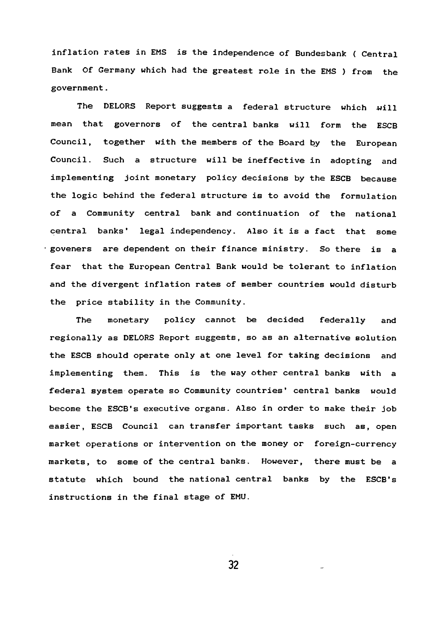**inflation rates in EMS is the independence of Bundesbank ( Central Bank Of Germany which had the greatest role in the EMS ) from the government.**

**The DELORS Report suggests a federal structure which will mean that governors of the central banks will form the ESCB Council, together with the members of the Board by the European Council. Such a structure will be ineffective in adopting and implementing joint monetary policy decisions by the ESCB because the logic behind the federal structure is to avoid the formulation of a Community central bank and continuation of the national central banks' legal independency. Also it is a fact that some goveners are dependent on their finance ministry. So there is a fear that the European Central Bank would be tolerant to inflation and the divergent inflation rates of member countries would disturb the price stability in the Community.**

**The monetary policy cannot be decided federally and regionally as DELORS Report suggests, so as an alternative solution the ESCB should operate only at one level for taking decisions and implementing them. This is the way other central banks with a federal system operate so Community countries' central banks would become the ESCB's executive organs. Also in order to make their job easier, ESCB Council can transfer important tasks such as, open market operations or intervention on the money or foreign-currency markets, to some of the central banks. However, there must be a statute which bound the national central banks by the ESCB's instructions in the final stage of EMU.**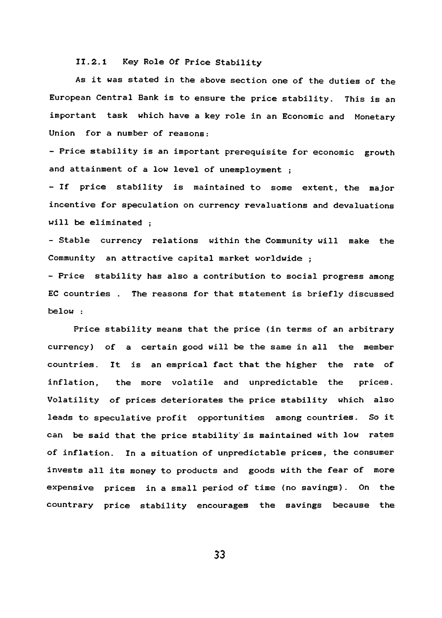**II.2.1 Key Role Of Price Stability**

**As it was stated in the above section one of the duties of the European Central Bank is to ensure the price stability. This is an important task which have a key role in an Economic and Monetary Union for a number of reasons:**

**- Price stability is an important prerequisite for economic growth and attainment of a low level of unemployment ;**

**- If price stability is maintained to some extent, the major incentive for speculation on currency revaluations and devaluations will be eliminated ;**

**- Stable currency relations within the Community will make the Community an attractive capital market worldwide ;**

**- Price stability has also a contribution to social progress among EC countries . The reasons for that statement is briefly discussed below :**

**Price stability means that the price (in terms of an arbitrary currency) of a certain good will be the same in all the member countries. It is an emprical fact that the higher the rate of inflation, the more volatile and unpredictable the prices. Volatility of prices deteriorates the price stability which also leads to speculative profit opportunities among countries. So it** can be said that the price stability is maintained with low rates **of inflation. In a situation of unpredictable prices, the consumer invests all its money to products and goods with the fear of more expensive prices in a small period of time (no savings). On the countrary price stability encourages the savings because the**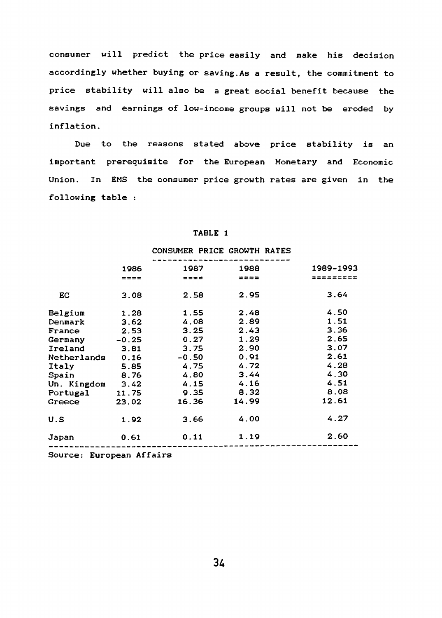**consumer will predict the price easily and make his decision accordingly whether buying or saving.As a result, the commitment to price stability will also be a great social benefit because the savings and earnings of low-income groups will not be eroded by inflation.**

**Due to the reasons stated above price stability is an important prerequisite for the European Monetary and Economic Union. In EMS the consumer price growth rates are given in the following table :**

### **TABLE 1**

# ----------------------------**1986 1987 1988 1989-19«**  $=$   $=$   $=$  $=$   $=$   $=$   $=$  $= 222$ **EC 3.08 2.58 2.95 3.64 Belgium 1.28 1.55 2.48 4.50 Denmark 3.62 4.08 2.89 1.51 France 2.53 3.25 2.43 3.36 Germany -0.25 0.27 1.29 2.65 Ireland 3.81 3.75 2.90 3.07 Netherlands 0.16 -0.50 0.91 2.61 Italy 5.85 4.75 4.72 4.28 Spain 8.76 4.80 3.44 4.30**<br> **Compaign 3.42 4.15 4.16 4.51 Un. Kingdom 3.42 4.15 4.16 4.51 Portugal 11.75 9.35**<br>**Greece 23.02 16.36 Portugal 11.75 9.35 8.32 8.08 U.S 1.92 3.66 4.00 4.27 Japan 0.61 0.11 1.19 2.60**

#### **CONSUMER PRICE GROWTH RATES**

**Source: European Affairs**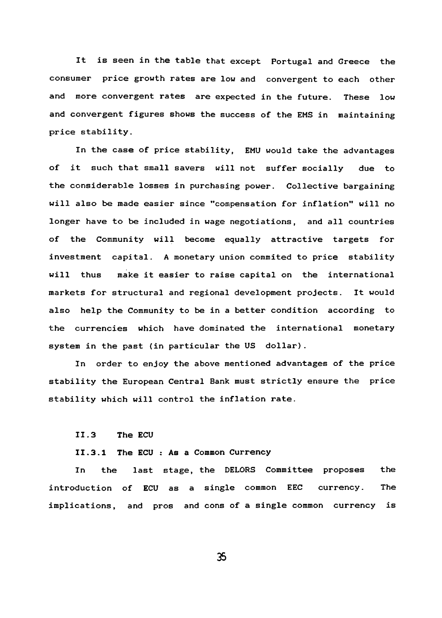**It is seen in the table that except Portugal and Greece the consumer price growth rates are low and convergent to each other and more convergent rates are expected in the future. These low and convergent figures shows the success of the EMS in maintaining price stability.**

**In the case of price stability, EMU would take the advantages of it such that small savers will not suffer socially due to the considerable losses in purchasing power. Collective bargaining will also be made easier since "compensation for inflation" will no longer have to be included in wage negotiations, and all countries of the Community will become equally attractive targets for investment capital. A monetary union commited to price stability will thus make it easier to raise capital on the international markets for structural and regional development projects. It would also help the Community to be in a better condition according to the currencies which have dominated the international monetary system in the past (in particular the US dollar) .**

**In order to enjoy the above mentioned advantages of the price stability the European Central Bank must strictly ensure the price stability which will control the inflation rate.**

**II.3 The ECU**

#### **II.3.1 The ECU : As a Common Currency**

**In the last stage, the DELORS Committee proposes the introduction of ECU as a single common EEC currency. The implications, and pros and cons of a single common currency is**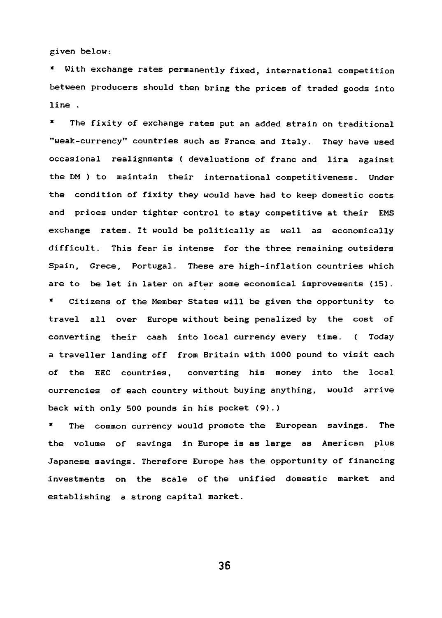**given below:**

With exchange rates permanently fixed, international competition **between producers should then bring the prices of traded goods into line .**

**\* The fixity of exchange rates put an added strain on traditional "weak-currency" countries such as France and Italy. They have used occasional realignments { devaluations of franc and lira against the DM ) to maintain their international competitiveness. Under the condition of fixity they would have had to keep domestic costs and prices under tighter control to stay competitive at their EMS exchange rates. It would be politically as well as economically difficult. This fear is intense for the three remaining outsiders Spain, Grece, Portugal. These are high-inflation countries which are to be let in later on after some economical improvements (15). \* Citizens of the Member States will be given the opportunity to**

**travel all over Europe without being penalized by the cost of converting their cash into local currency every time. ( Today a traveller landing off from Britain with 1000 pound to visit each of the EEC countries, converting his money into the local currencies of each country without buying anything, would arrive back with only 500 pounds in his pocket (9).)**

The common currency would promote the European savings. The **the volume of savings in Europe is as large as American plus Japanese savings. Therefore Europe has the opportunity of financing investments on the scale of the unified domestic market and establishing a strong capital market.**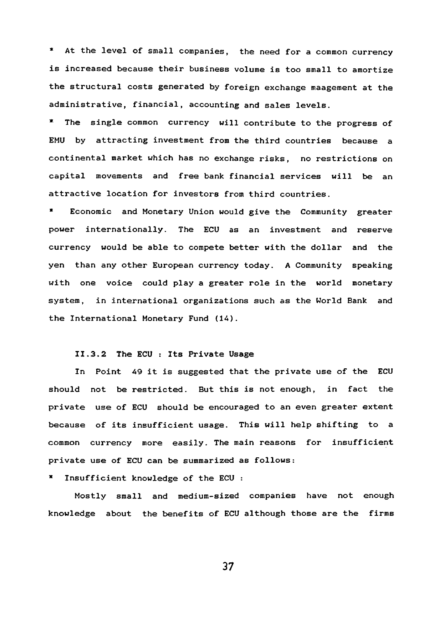**\* At the level of small companies, the need for a common currency is increased because their business volume is too small to amortize** the structural costs generated by foreign exchange maagement at the **administrative, financial, accounting and sales levels.**

**\* The single common currency will contribute to the progress of EMU by attracting investment from the third countries because a continental market which has no exchange risks, no restrictions on capital movements and free bank financial services will be an attractive location for investors from third countries.**

**\* Economic and Monetary Union would give the Community greater power internationally. The ECU as an investment and reserve currency would be able to compete better with the dollar and the yen than any other European currency today. A Community speaking with one voice could play a greater role in the world monetary system, in international organizations such as the World Bank and the International Monetary Fund (lA).**

# **II.3.2 The ECU : Its Private Usage**

**In Point 49 it is suggested that the private use of the ECU should not be restricted. But this is not enough, in fact the private use of ECU should be encouraged to an even greater extent because of its insufficient usage. This will help shifting to a common currency more easily. The main reasons for insufficient private use of ECU can be summarized as follows:**

**\* Insufficient knowledge of the ECU :**

**Mostly small and medium-sized companies have not enough knowledge about the benefits of ECU although those are the firms**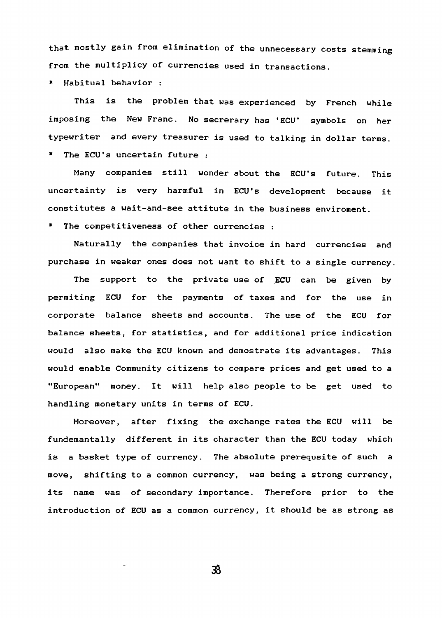**that mostly gain from elimination of the unnecessary costs stemming from the multiplicy of currencies used in transactions.**

**■ Habitual behavior :**

**This is the problem that was experienced by French while imposing the New Franc. No secrerary has 'ECU' symbols on her typewriter and every treasurer is used to talking in dollar terms. \* The ECU's uncertain future :**

**Many companies still wonder about the ECU's future. This uncertainty is very harmful in ECU's development because it constitutes a wait-and-see attitute in the business enviroment.**

**\* The competitiveness of other currencies :**

**Naturally the companies that invoice in hard currencies and purchase in weaker ones does not want to shift to a single currency.**

**The support to the private use of ECU can be given by permiting ECU for the payments of taxes and for the use in corporate balance sheets and accounts. The use of the ECU for balance sheets, for statistics, and for additional price indication would also make the ECU known and demostrate its advantages. This would enable Community citizens to compare prices and get used to a "European" money. It will help also people to be get used to handling monetary units in terms of ECU.**

**Moreover, after fixing the exchange rates the ECU will be fundemantally different in its character than the ECU today which is a basket type of currency. The absolute prerequsite of such a move, shifting to a common currency, was being a strong currency, its name was of secondary importance. Therefore prior to the introduction of ECU as a common currency, it should be as strong as**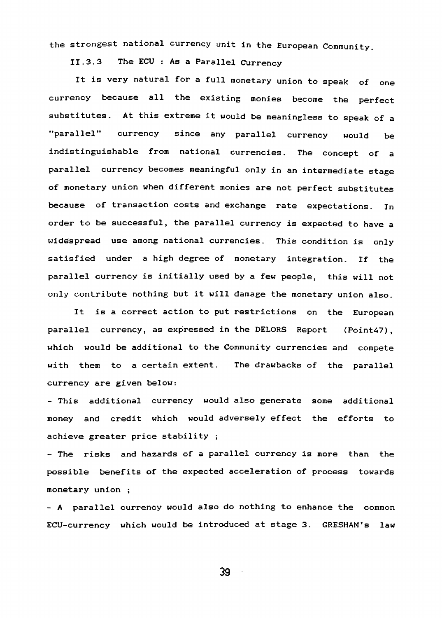the strongest national currency unit in the European Community.

**II.3.3 The ECU : As a Parallel Currency**

**It is very natural for a full monetary union to speak of one currency because all the existing monies become the perfect substitutes. At this extreme it would be meaningless to speak of a '•parallel" currency since any parallel currency would be indistinguishable from national currencies. The concept of a parallel currency becomes meaningful only in an intermediate stage of monetary union when different monies are not perfect substitutes because of transaction costs and exchange rate expectations. In order to be successful, the parallel currency is expected to have a widespread use among national currencies. This condition is only satisfied under a high degree of monetary integration. If the parallel currency is initially used by a few people, this will not only contribute nothing but it will damage the monetary union also.**

**It is a correct action to put restrictions on the European parallel currency, as expressed in the DELORS Report (Point47), which would be additional to the Community currencies and compete with them to a certain extent. The drawbacks of the parallel currency are given below:**

**- This additional currency would also generate some additional money and credit which would adversely effect the efforts to achieve greater price stability ;**

**- The risks and hazards of a parallel currency is more than the possible benefits of the expected acceleration of process towards monetary union ;**

**- A parallel currency would also do nothing to enhance the common ECU-currency which would be introduced at stage 3. GRESHAM'S law**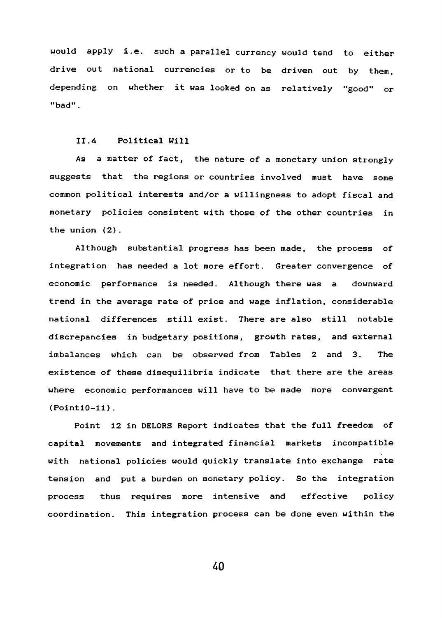**would apply i.e. such a parallel currency would tend to either drive out national currencies or to be driven out by them, depending on whether it was looked on as relatively "good" or "bad".**

# **II.4 Political Will**

**As a matter of fact, the nature of a monetary union strongly suggests that the regions or countries involved must have some common political interests and/or a willingness to adopt fiscal and monetary policies consistent with those of the other countries in the union (2).**

**Although substantial progress has been made, the process of integration has needed a lot more effort. Greater convergence of economic performance is needed. Although there was a downward trend in the average rate of price and wage inflation, considerable national differences still exist. There are also still notable discrepancies in budgetary positions, growth rates, and external imbalances which can be observed from Tables 2 and 3. The existence of these disequilibria indicate that there are the areas where economic performances will have to be made more convergent (PointlO-11).**

**Point 12 in DELORS Report indicates that the full freedom of capital movements and integrated financial markets incompatible with national policies would quickly translate into exchange rate tension and put a burden on monetary policy. So the integration process thus requires more intensive and effective policy coordination. This integration process can be done even within the**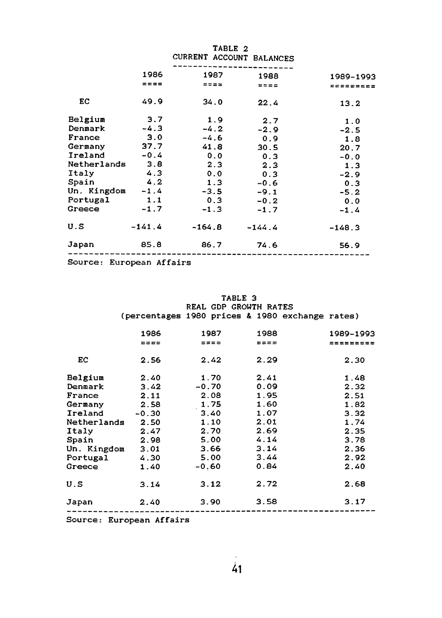|                    |          | TABLE 2<br>CURRENT ACCOUNT BALANCES |           |           |
|--------------------|----------|-------------------------------------|-----------|-----------|
|                    | 1986     | 1987                                | 1988      | 1989-1993 |
|                    | ====     | $=$ $=$ $=$ $=$                     | $== == =$ | ********* |
| EC                 | 49.9     | 34.0                                | 22.4      | 13.2      |
| Belgium            | 3.7      | 1.9                                 | 2.7       | 1.0       |
| Denmark            | $-4.3$   | $-4.2$                              | $-2.9$    | $-2.5$    |
| France             | 3.0      | $-4.6$                              | 0.9       | 1.8       |
| Germany            | 37.7     | 41.8                                | 30.5      | 20.7      |
| Ireland            | $-0.4$   | 0.0                                 | 0.3       | $-0.0$    |
| Netherlands        | 3.8      | 2.3                                 | 2.3       | 1.3       |
| Italy              | 4.3      | 0.0                                 | 0.3       | $-2.9$    |
| Spain              | 4.2      | 1.3                                 | $-0.6$    | 0.3       |
| Un. Kingdom $-1.4$ |          | $-3.5$                              | $-9.1$    | $-5.2$    |
| Portugal           | 1.1      | 0.3                                 | $-0.2$    | 0.0       |
| Greece             | $-1.7$   | $-1.3$                              | $-1.7$    | $-1.4$    |
| U.S                | $-141.4$ | -164.8                              | $-144.4$  | $-148.3$  |
| Japan              | 85.8     | 86.7                                | 74.6      | 56.9      |
|                    |          |                                     |           |           |

**Source: European Affairs**

|                  |                                                 | TABLE 3<br>REAL GDP GROWTH RATES |             |           |  |  |
|------------------|-------------------------------------------------|----------------------------------|-------------|-----------|--|--|
|                  | (percentages 1980 prices & 1980 exchange rates) |                                  |             |           |  |  |
|                  | 1986                                            | 1987                             | 1988        | 1989-1993 |  |  |
|                  | $= = = =$                                       | $= 2 = 5$                        | $z = z = z$ | ********* |  |  |
| EC               | 2.56                                            | 2.42                             | 2.29        | 2.30      |  |  |
| Belgium          | 2.40                                            | 1.70                             | 2.41        | 1.48      |  |  |
| Denmark          | 3.42                                            | $-0.70$                          | 0.09        | 2.32      |  |  |
| France           | 2.11                                            | 2.08                             | 1.95        | 2.51      |  |  |
| Germany          | 2.58                                            | 1.75                             | 1.60        | 1.82      |  |  |
| Ireland          | $-0.30$                                         | 3.40                             | 1.07        | 3.32      |  |  |
| Netherlands      | 2.50                                            | 1.10                             | 2.01        | 1.74      |  |  |
| Italy            | 2.47                                            | 2.70                             | 2.69        | 2.35      |  |  |
| Spain            | 2.98                                            | 5.00                             | 4.14        | 3.78      |  |  |
| Un. Kingdom 3.01 |                                                 | 3.66                             | 3.14        | 2.36      |  |  |
| <b>Portugal</b>  | 4.30                                            | 5.00                             | 3.44        | 2.92      |  |  |
| Greece           | 1.40                                            | $-0.60$                          | 0.84        | 2.40      |  |  |
| U.S              | 3.14                                            | 3.12                             | 2.72        | 2.68      |  |  |
| Japan            | 2.40                                            | 3.90                             | 3.58        | 3.17      |  |  |

**Source: European Affairs**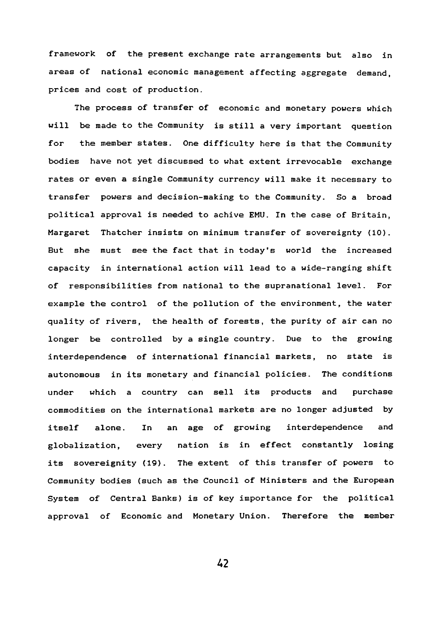**framework of the present exchange rate arrangements but also in areas of national economic management affecting aggregate demand, prices and cost of production.**

**The process of transfer of economic and monetary powers which will be made to the Community is still a very important question for the member states. One difficulty here is that the Community bodies have not yet discussed to what extent irrevocable exchange rates or even a single Community currency will make it necessary to transfer powers and decision-making to the Community. So a broad political approval is needed to achive EMU. In the case of Britain, Margaret Thatcher insists on minimum transfer of sovereignty {10). But she must see the fact that in today's world the increased capacity in international action will lead to a wide-ranging shift of responsibilities from national to the supranational level. For example the control of the pollution of the environment, the water quality of rivers, the health of forests, the purity of air can no longer be controlled by a single country. Due to the growing interdependence of international financial markets, no state is autonomous in its monetary and financial policies. The conditions under which a country can sell its products and purchase commodities on the international markets are no longer adjusted by itself alone. In an age of growing interdependence and globalization, every nation is in effect constantly losing its sovereignity (19). The extent of this transfer of powers to Community bodies (such as the Council of Ministers and the European System of Central Banks) is of key importance for the political approval of Economic and Monetary Union. Therefore the member**

A2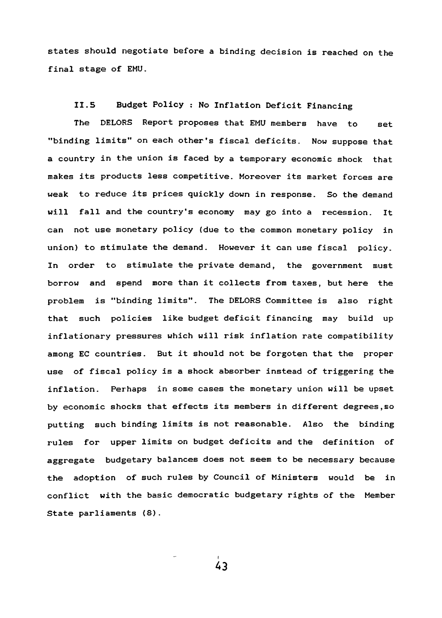states should negotiate before a binding decision is reached on the **final stage of EMU.**

# **II.5 Budget Policy : No Inflation Deficit Financing**

**The DELORS Report proposes that EMU members have to set "binding limits" on each other's fiscal deficits. Now suppose that a country in the union is faced by a temporary economic shock that makes its products less competitive. Moreover its market forces are weak to reduce its prices quickly down in response. So the demand will fall and the country's economy may go into a recession. It can not use monetary policy (due to the common monetary policy in union) to stimulate the demand. However it can use fiscal policy. In order to stimulate the private demand, the government must borrow and spend more than it collects from taxes, but here the** problem is "binding limits". The DELORS Committee is also right **that such policies like budget deficit financing may build up inflationary pressures which will risk inflation rate compatibility among EC countries. But it should not be forgoten that the proper use of fiscal policy is a shock absorber instead of triggering the inflation. Perhaps in some cases the monetary union will be upset by economic shocks that effects its members in different degrees,so putting such binding limits is not reasonable. Also the binding rules for upper limits on budget deficits and the definition of aggregate budgetary balances does not seem to be necessary because the adoption of such rules by Council of Ministers would be in conflict with the basic democratic budgetary rights of the Member State parliaments (8).**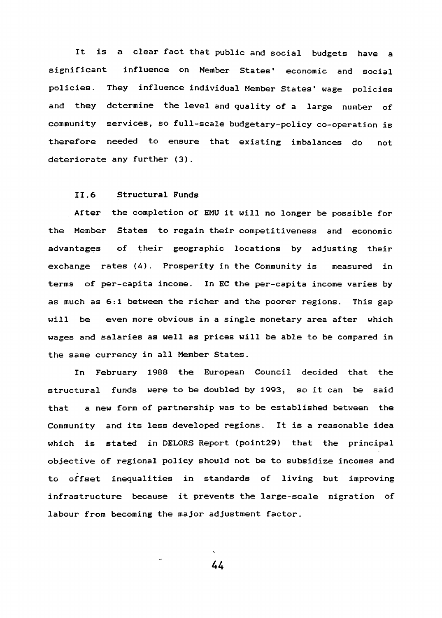**It is a clear fact that public and social budgets have a significant influence on Member States' economic and social policies. They influence individual Member States\* wage policies and they determine the level and quality of a large number of community services, so full-scale budgetary-policy co-operation is therefore needed to ensure that existing imbalances do not deteriorate any further (3).**

# **II.6 Structural Funds**

**After the completion of EMU it will no longer be possible for the Member States to regain their competitiveness and economic advantages of their geographic locations by adjusting their exchange rates (4). Prosperity in the Community is measured in terms of per-capita income. In EC the per-capita income varies by as much as 6:1 between the richer and the poorer regions. This gap will be even more obvious in a single monetary area after which wages and salaries as well as prices will be able to be compared in the same currency in all Member States.**

**In February 1988 the European Council decided that the structural funds were to be doubled by 1993, so it can be said that a new form of partnership was to be established between the Community and its less developed regions. It is a reasonable idea which is stated in DELORS Report (point29) that the principal objective of regional policy should not be to subsidize incomes and to offset inequalities in standards of living but improving infrastructure because it prevents the large-scale migration of labour from becoming the major adjustment factor.**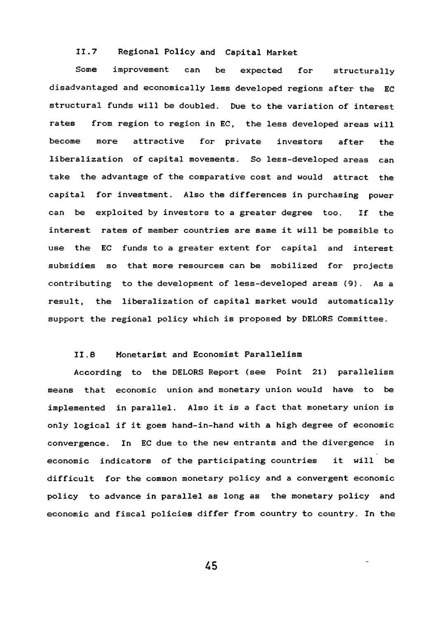# **11.7 Regional Policy and Capital Market**

**Some improvement can be expected for structurally disadvantaged and economically less developed regions after the EC structural funds will be doubled. Due to the variation of interest rates from region to region in EC, the less developed areas will become more attractive for private investors after the liberalization of capital movements. So less-developed areas can take the advantage of the comparative cost and would attract the capital for investment. Also the differences in purchasing power can be exploited by investors to a greater degree too. If the interest rates of member countries are same it will be possible to use the EC funds to a greater extent for capital and interest subsidies so that more resources can be mobilized for projects contributing to the development of less-developed areas (9). As a result, the liberalization of capital market would automatically support the regional policy which is proposed by DELORS Committee.**

#### **11.8 Monetarist and Economist Parallelism**

**According to the DELORS Report (see Point 21) parallelism means that economic union and monetary union would have to be implemented in parallel. Also it is a fact that monetary union is only logical if it goes hand-in-hand with a high degree of economic convergence. In EC due to the new entrants and the divergence in economic indicators of the participating countries it will be difficult for the common monetary policy and a convergent economic policy to advance in parallel as long as the monetary policy and economic and fiscal policies differ from country to country. In the**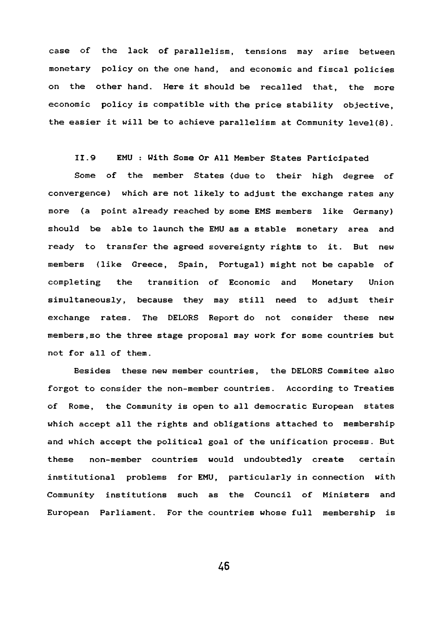**case of the lack of parallelism, tensions may arise between monetary policy on the one hand, and economic and fiscal policies on the other hand. Here it should be recalled that, the more economic policy is compatible with the price stability objective, the easier it will be to achieve parallelism at Community level(8).**

**11.9 EMU : With Some Or All Member States Participated**

**Some of the member States (due to their high degree of convergence) which are not likely to adjust the exchange rates any more (a point already reached by some EMS members like Germany) should be able to launch the EMU as a stable monetary area and ready to transfer the agreed sovereignty rights to it. But new members (like Greece, Spain, Portugal) might not be capable of completing the transition of Economic and Monetary Union simultaneously, because they may still need to adjust their exchange rates. The DELORS Report do not consider these new members,so the three stage proposal may work for some countries but not for all of them.**

**Besides these new member countries, the DELORS Commitee also forgot to consider the non-member countries. According to Treaties of Rome, the Community is open to all democratic European states which accept all the rights and obligations attached to membership and which accept the political goal of the unification process. But these non-member countries would undoubtedly create certain institutional problems for EMU, particularly in connection with Community institutions such as the Council of Ministers and European Parliament. For the countries whose full membership is**

**A6**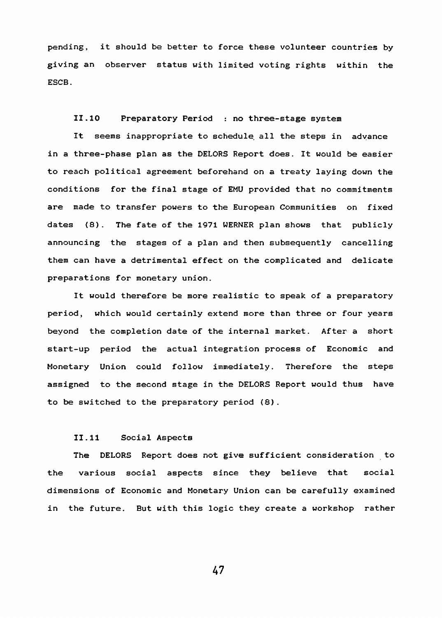**pending, it should be better to force these volunteer countries by giving an observer status with limited voting rights within the ESCB.**

**II. 10 Preparatory Period : no three-stage system**

**It seems inappropriate to schedule all the steps in advance in a three-phase plan as the DELORS Report does. It would be easier to reach political agreement beforehand on a treaty laying down the conditions for the final stage of EMU provided that no commitments are made to transfer powers to the European Communities on fixed dates (8). The fate of the 1971 WERNER plan shows that publicly announcing the stages of a plan and then subsequently cancelling them can have a detrimental effect on the complicated and delicate preparations for monetary union.**

**It would therefore be more realistic to speak of a preparatory period, which would certainly extend more than three or four years beyond the completion date of the internal market. After a short start-up period the actual integration process of Economic and Monetary Union could follow immediately. Therefore the steps assigned to the second stage in the DELORS Report would thus have to be switched to the preparatory period (8).**

# **II.11 Social Aspects**

**The DELORS Report does not give sufficient consideration to the various social aspects since they believe that social dimensions of Economic and Monetary Union can be carefully examined in the future. But with this logic they create a workshop rather**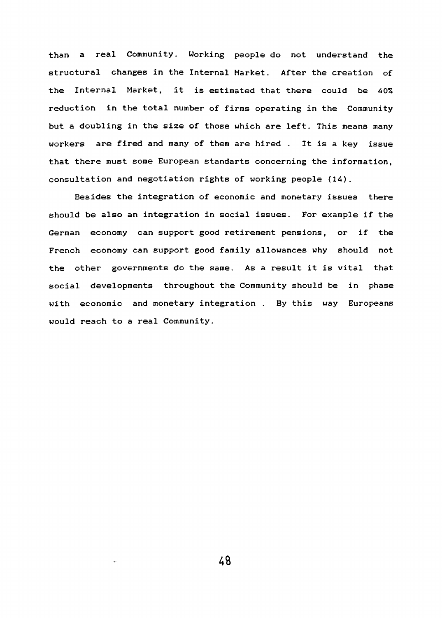**than a real Community. Working people do not understand the structural changes in the Internal Market. After the creation of the Internal Market, it is estimated that there could be 40% reduction in the total number of firms operating in the Community but a doubling in the size of those which are left. This means many workers are fired and many of them are hired . It is a key issue that there must some European standarts concerning the information, consultation and negotiation rights of working people (14).**

**Besides the integration of economic and monetary issues there should be also an integration in social issues. For example if the German economy can support good retirement pensions, or if the French economy can support good family allowances why should not the other governments do the same. As a result it is vital that social developments throughout the Community should be in phase with economic and monetary integration . By this way Europeans would reach to a real Community.**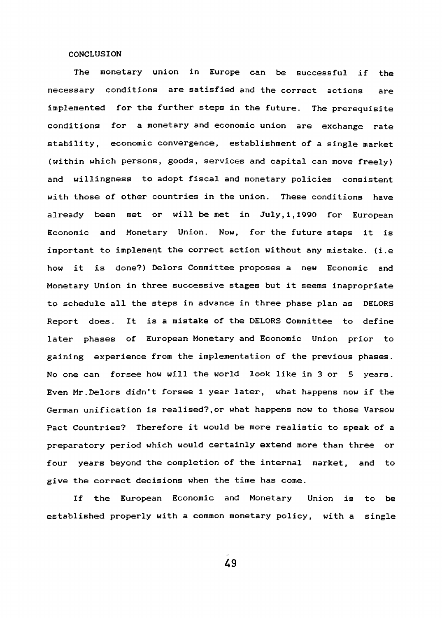# **CONCLUSION**

**The monetary union in Europe can be successful if the necessary conditions are satisfied and the correct actions are implemented for the further steps in the future. The prerequisite conditions for a monetary and economic union are exchange rate stability, economic convergence, establishment of a single market (within which persons, goods, services and capital can move freely) and willingness to adopt fiscal and monetary policies consistent with those of other countries in the union. These conditions have already been met or will be met in July, 1,1990 for European Economic and Monetary Union. Now, for the future steps it is important to implement the correct action without any mistake, (i.e how it is done?) Delors Committee proposes a new Economic and Monetary Union in three successive stages but it seems inapropriate to schedule all the steps in advance in three phase plan as DELORS Report does. It is a mistake of the DELORS Committee to define later phases of European Monetary and Economic Union prior to gaining experience from the implementation of the previous phases. No one can forsee how will the world look like in 3 or 5 years. Even Mr.Delors didn't forsee 1 year later, what happens now if the German unification is realised?,or what happens now to those Varsow Pact Countries? Therefore it would be more realistic to speak of a preparatory period which would certainly extend more than three or four years beyond the completion of the internal market, and to give the correct decisions when the time has come.**

**If the European Economic and Monetary Union is to be established properly with a common monetary policy, with a single**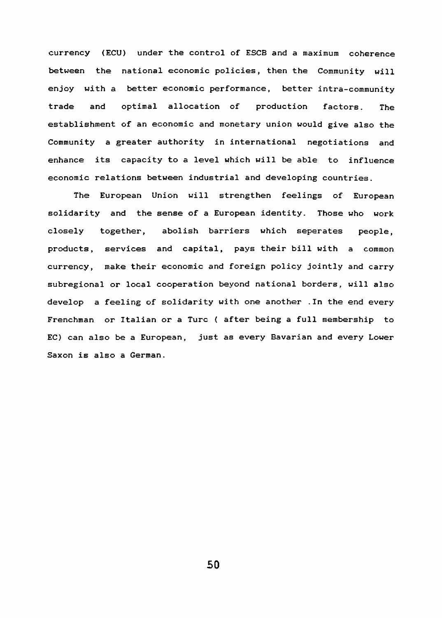**currency (ECU) under the control of ESCB and a maximum coherence between the national economic policies, then the Community will enjoy with a better economic performance, better intra-community trade and optimal allocation of production factors. The establishment of an economic and monetary union would give also the Community a greater authority in international negotiations and enhance its capacity to a level which will be able to influence economic relations between industrial and developing countries.**

**The European Union will strengthen feelings of European solidarity and the sense of a European identity. Those who work closely together, abolish barriers which separates people, products, services and capital, pays their bill with a common currency, make their economic and foreign policy jointly and carry subregional or local cooperation beyond national borders, will also develop a feeling of solidarity with one another .In the end every Frenchman or Italian or a Turc ( after being a full membership to EC) can also be a European, just as every Bavarian and every Lower Saxon is also a German.**

**SO**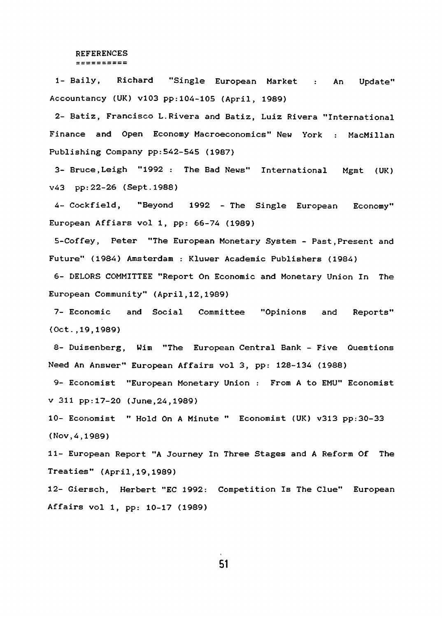#### **REFERENCES** ==========

**1- Daily, Richard "Single European Market : An Update" Accountancy (UK) vl03 pp:10A-105 (April, 1989)**

**2- Batiz, Francisco L.Rivera and Batiz, Luiz Rivera "International Finance and Open Economy Macroeconomics" New York : MacMillan Publishing Company pp:542-54S (1987)**

**3- Bruce,Leigh "1992 : The Bad News" International Mgmt (UK) v<43 pp: 22-26 (Sept. 1988)**

**A- Cockfield, "Beyond 1992 - The Single European Economy" European Affiars vol 1, pp: 66-74 (1989)**

**5- Coffey, Peter "The European Monetary System - Past,Present and Future" (1984) Amsterdam : Kluwer Academic Publishers (1984)**

**6- DELORS COMMITTEE "Report On Economic and Monetary Union In The European Community" (April,12,1989)**

**7- Economic and Social Committee "Opinions and Reports" (Oct.,19,1989)**

**8- Duisenberg, Wim "The European Central Bank - Five Questions Need An Answer" European Affairs vol 3, pp: 128-134 (1988)**

**9- Economist "European Monetary Union : From A to EMU" Economist V 311 pp:17-20 (June,24,1989)**

**10- Economist " Hold On A Minute " Economist (UK) v313 pp:30-33 (Nov,4,1989)**

**11- European Report "A Journey In Three Stages and A Reform Of The Treaties" (April,19,1989)**

**12- Giersch, Herbert "EC 1992: Competition Is The Clue" European Affairs vol 1, pp: 10-17 (1989)**